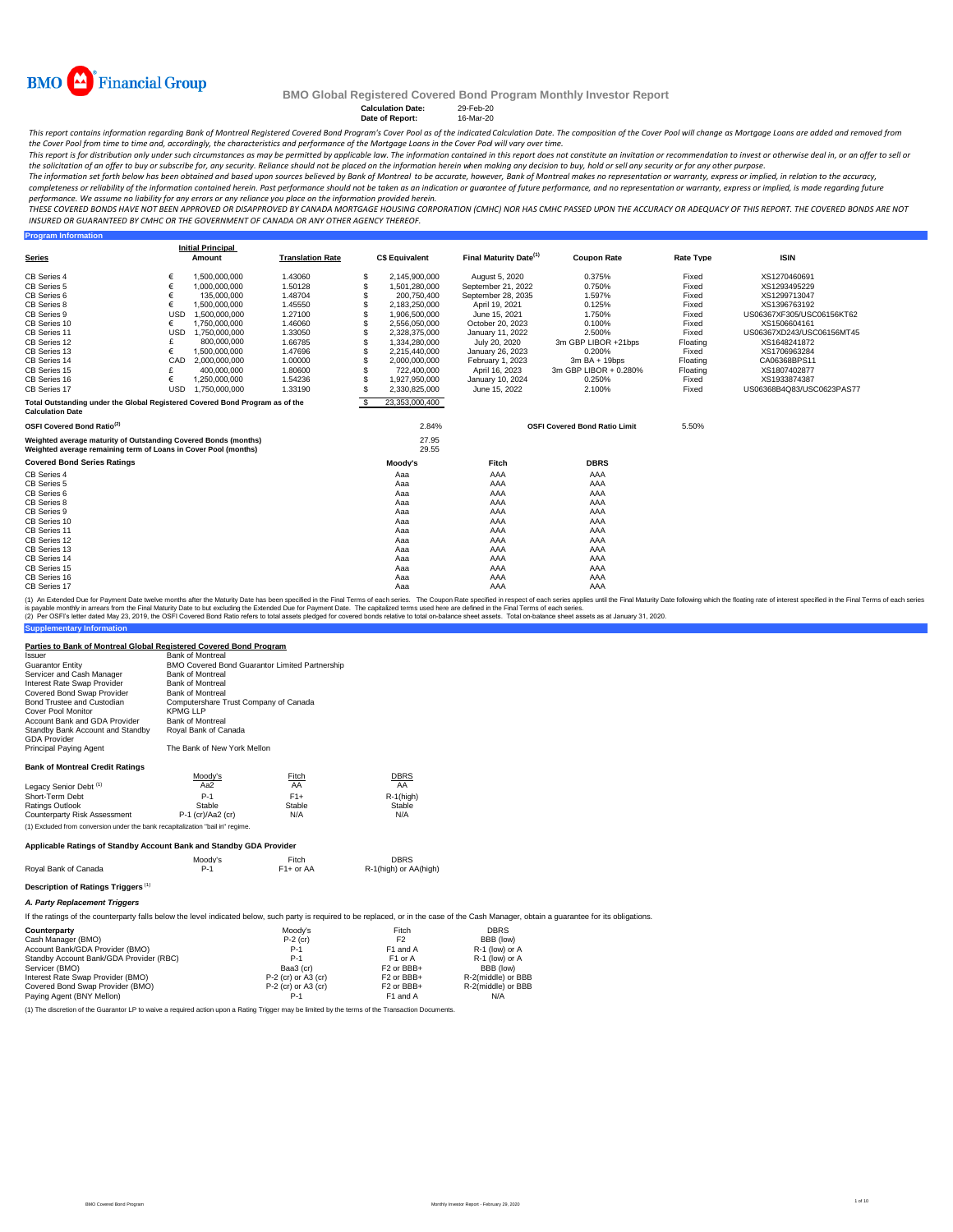

**Program Information**

## **BMO Global Registered Covered Bond Program Monthly Investor Report**

### **Calculation Date:** 29-Feb-20<br> **Date of Report:** 16-Mar-20 **Date of Report:**

This report contains information regarding Bank of Montreal Registered Covered Bond Program's Cover Pool as of the indicated Calculation Date. The composition of the Cover Pool will change as Mortgage Loans are added and r *the Cover Pool from time to time and, accordingly, the characteristics and performance of the Mortgage Loans in the Cover Pool will vary over time.*

This report is for distribution only under such circumstances as may be permitted by applicable law. The information contained in this report does not constitute an invitation or recommendation to invest or otherwise deal

the solicitation of an offer to buy or subscribe for, any security. Reliance should not be placed on the information herein when making any decision to buy, hold or sell any security or for any other purpose.<br>The informati completeness or reliability of the information contained herein. Past performance should not be taken as an indication or guarantee of future performance, and no representation or warranty, express or implied, is made rega

performance. We assume no liability for any errors or any reliance you place on the information provided herein.<br>THESE COVERED BONDS HAVE NOT BEEN APPROVED OR DISAPPROVED BY CANADA MORTGAGE HOUSING CORPORATION (CMHC) NOR H *INSURED OR GUARANTEED BY CMHC OR THE GOVERNMENT OF CANADA OR ANY OTHER AGENCY THEREOF.*

| <b>Series</b>                                                                                                                      |            | <b>Initial Principal</b><br>Amount | <b>Translation Rate</b> |    | <b>C\$ Equivalent</b> | Final Maturity Date <sup>(1)</sup> | <b>Coupon Rate</b>                   | <b>Rate Type</b> | <b>ISIN</b>               |
|------------------------------------------------------------------------------------------------------------------------------------|------------|------------------------------------|-------------------------|----|-----------------------|------------------------------------|--------------------------------------|------------------|---------------------------|
| CB Series 4                                                                                                                        | €          | 1,500,000,000                      | 1.43060                 | \$ | 2,145,900,000         | August 5, 2020                     | 0.375%                               | Fixed            | XS1270460691              |
| CB Series 5                                                                                                                        | €          | 1.000.000.000                      | 1.50128                 | \$ | 1,501,280,000         | September 21, 2022                 | 0.750%                               | Fixed            | XS1293495229              |
| CB Series 6                                                                                                                        | €          | 135,000,000                        | 1.48704                 | \$ | 200,750,400           | September 28, 2035                 | 1.597%                               | Fixed            | XS1299713047              |
| CB Series 8                                                                                                                        | €          | 1.500.000.000                      | 1.45550                 | \$ | 2,183,250,000         | April 19, 2021                     | 0.125%                               | Fixed            | XS1396763192              |
| CB Series 9                                                                                                                        | <b>USD</b> | 1,500,000,000                      | 1.27100                 | \$ | 1,906,500,000         | June 15, 2021                      | 1.750%                               | Fixed            | US06367XF305/USC06156KT62 |
| CB Series 10                                                                                                                       | €          | 1.750.000.000                      | 1.46060                 | \$ | 2,556,050,000         | October 20, 2023                   | 0.100%                               | Fixed            | XS1506604161              |
| CB Series 11                                                                                                                       | <b>USD</b> | 1.750.000.000                      | 1.33050                 | \$ | 2,328,375,000         | January 11, 2022                   | 2.500%                               | Fixed            | US06367XD243/USC06156MT45 |
| CB Series 12                                                                                                                       | £          | 800,000,000                        | 1.66785                 | \$ | 1,334,280,000         | July 20, 2020                      | 3m GBP LIBOR +21bps                  | Floating         | XS1648241872              |
| CB Series 13                                                                                                                       | €          | 1.500.000.000                      | 1.47696                 | \$ | 2,215,440,000         | January 26, 2023                   | 0.200%                               | Fixed            | XS1706963284              |
| CB Series 14                                                                                                                       | CAD        | 2.000.000.000                      | 1.00000                 | \$ | 2,000,000,000         | February 1, 2023                   | $3m$ BA + 19bps                      | Floating         | CA06368BPS11              |
| CB Series 15                                                                                                                       |            | 400.000.000                        | 1.80600                 | \$ | 722.400.000           | April 16, 2023                     | 3m GBP LIBOR + 0.280%                | Floating         | XS1807402877              |
| CB Series 16                                                                                                                       | €          | 1.250.000.000                      | 1.54236                 | \$ | 1,927,950,000         | January 10, 2024                   | 0.250%                               | Fixed            | XS1933874387              |
| CB Series 17                                                                                                                       | <b>USD</b> | 1,750,000,000                      | 1.33190                 | \$ | 2,330,825,000         | June 15, 2022                      | 2.100%                               | Fixed            | US06368B4Q83/USC0623PAS77 |
| Total Outstanding under the Global Registered Covered Bond Program as of the<br><b>Calculation Date</b>                            |            |                                    |                         | £. | 23.353.000.400        |                                    |                                      |                  |                           |
| OSFI Covered Bond Ratio <sup>(2)</sup>                                                                                             |            |                                    |                         |    | 2.84%                 |                                    | <b>OSFI Covered Bond Ratio Limit</b> | 5.50%            |                           |
| Weighted average maturity of Outstanding Covered Bonds (months)<br>Weighted average remaining term of Loans in Cover Pool (months) |            |                                    |                         |    | 27.95<br>29.55        |                                    |                                      |                  |                           |
| <b>Covered Bond Series Ratings</b>                                                                                                 |            |                                    |                         |    | Moody's               | Fitch                              | <b>DBRS</b>                          |                  |                           |
| CB Series 4                                                                                                                        |            |                                    |                         |    | Aaa                   | AAA                                | AAA                                  |                  |                           |
| CB Series 5                                                                                                                        |            |                                    |                         |    | Aaa                   | AAA                                | AAA                                  |                  |                           |
| CB Series 6                                                                                                                        |            |                                    |                         |    | Aaa                   | AAA                                | AAA                                  |                  |                           |
| CB Series 8                                                                                                                        |            |                                    |                         |    | Aaa                   | AAA                                | AAA                                  |                  |                           |
| CB Series 9                                                                                                                        |            |                                    |                         |    | Aaa                   | AAA                                | AAA                                  |                  |                           |
| CB Series 10                                                                                                                       |            |                                    |                         |    | Aaa                   | AAA                                | AAA                                  |                  |                           |
| CB Series 11                                                                                                                       |            |                                    |                         |    | Aaa                   | AAA                                | AAA                                  |                  |                           |
| CB Series 12                                                                                                                       |            |                                    |                         |    | Aaa                   | AAA                                | AAA                                  |                  |                           |
| CB Series 13                                                                                                                       |            |                                    |                         |    | Aaa                   | AAA                                | AAA                                  |                  |                           |
| CB Series 14                                                                                                                       |            |                                    |                         |    | Aaa                   | AAA                                | AAA                                  |                  |                           |
| CB Series 15                                                                                                                       |            |                                    |                         |    | Aaa                   | AAA                                | AAA                                  |                  |                           |
| CB Series 16                                                                                                                       |            |                                    |                         |    | Aaa                   | AAA                                | AAA                                  |                  |                           |
| CB Series 17                                                                                                                       |            |                                    |                         |    | Aaa                   | AAA                                | AAA                                  |                  |                           |

(1) An Extended Due for Payment Date twelve months after the Maturity Date has been specified in the Final Terms of each series. The Coupon Rate specified in the respective in the specified in the Final Maturity Date follo

### **Parties to Bank of Montreal Global Registered Covered Bond Program**

**ntary Infor** 

| Parues to Bank of Montreal Global Registered Covered Bond Program              |                                                       |             |                       |                                                                                                                                                                                             |  |
|--------------------------------------------------------------------------------|-------------------------------------------------------|-------------|-----------------------|---------------------------------------------------------------------------------------------------------------------------------------------------------------------------------------------|--|
| Issuer                                                                         | <b>Bank of Montreal</b>                               |             |                       |                                                                                                                                                                                             |  |
| <b>Guarantor Entity</b>                                                        | <b>BMO Covered Bond Guarantor Limited Partnership</b> |             |                       |                                                                                                                                                                                             |  |
| Servicer and Cash Manager                                                      | <b>Bank of Montreal</b>                               |             |                       |                                                                                                                                                                                             |  |
| Interest Rate Swap Provider                                                    | <b>Bank of Montreal</b>                               |             |                       |                                                                                                                                                                                             |  |
| Covered Bond Swap Provider                                                     | <b>Bank of Montreal</b>                               |             |                       |                                                                                                                                                                                             |  |
| Bond Trustee and Custodian                                                     | Computershare Trust Company of Canada                 |             |                       |                                                                                                                                                                                             |  |
| Cover Pool Monitor                                                             | <b>KPMG LLP</b>                                       |             |                       |                                                                                                                                                                                             |  |
| Account Bank and GDA Provider                                                  | <b>Bank of Montreal</b>                               |             |                       |                                                                                                                                                                                             |  |
| Standby Bank Account and Standby<br><b>GDA</b> Provider                        | Roval Bank of Canada                                  |             |                       |                                                                                                                                                                                             |  |
| Principal Paying Agent                                                         | The Bank of New York Mellon                           |             |                       |                                                                                                                                                                                             |  |
| <b>Bank of Montreal Credit Ratings</b>                                         |                                                       |             |                       |                                                                                                                                                                                             |  |
|                                                                                | Moodv's                                               | Fitch       | <b>DBRS</b>           |                                                                                                                                                                                             |  |
| Legacy Senior Debt <sup>(1)</sup>                                              | Aa $2$                                                | AA          | AA                    |                                                                                                                                                                                             |  |
| Short-Term Debt                                                                | $P-1$                                                 | $F1+$       | $R-1$ (high)          |                                                                                                                                                                                             |  |
| Ratings Outlook                                                                | Stable                                                | Stable      | Stable                |                                                                                                                                                                                             |  |
| <b>Counterparty Risk Assessment</b>                                            | P-1 (cr)/Aa2 (cr)                                     | N/A         | N/A                   |                                                                                                                                                                                             |  |
| (1) Excluded from conversion under the bank recapitalization "bail in" regime. |                                                       |             |                       |                                                                                                                                                                                             |  |
| Applicable Ratings of Standby Account Bank and Standby GDA Provider            |                                                       |             |                       |                                                                                                                                                                                             |  |
|                                                                                | Moodv's                                               | Fitch       | <b>DBRS</b>           |                                                                                                                                                                                             |  |
| Roval Bank of Canada                                                           | $P-1$                                                 | $F1+$ or AA | R-1(high) or AA(high) |                                                                                                                                                                                             |  |
| Description of Ratings Triggers <sup>(1)</sup>                                 |                                                       |             |                       |                                                                                                                                                                                             |  |
| A. Party Replacement Triggers                                                  |                                                       |             |                       |                                                                                                                                                                                             |  |
|                                                                                |                                                       |             |                       | If the ratings of the counterparty falls below the level indicated below, such party is required to be replaced, or in the case of the Cash Manager, obtain a quarantee for its obligations |  |

| Counterparty                            | Moodv's             | Fitch                  | <b>DBRS</b>        |
|-----------------------------------------|---------------------|------------------------|--------------------|
| Cash Manager (BMO)                      | $P-2$ (cr)          | F <sub>2</sub>         | BBB (low)          |
| Account Bank/GDA Provider (BMO)         | $P-1$               | F1 and A               | R-1 (low) or A     |
| Standby Account Bank/GDA Provider (RBC) | $P-1$               | F1 or A                | R-1 (low) or A     |
| Servicer (BMO)                          | Baa3 (cr)           | F <sub>2</sub> or BBB+ | BBB (low)          |
| Interest Rate Swap Provider (BMO)       | P-2 (cr) or A3 (cr) | F <sub>2</sub> or BBB+ | R-2(middle) or BBB |
| Covered Bond Swap Provider (BMO)        | P-2 (cr) or A3 (cr) | F <sub>2</sub> or BBB+ | R-2(middle) or BBB |
| Paying Agent (BNY Mellon)               | P-1                 | F <sub>1</sub> and A   | N/A                |

(1) The discretion of the Guarantor LP to waive a required action upon a Rating Trigger may be limited by the terms of the Transaction Documents.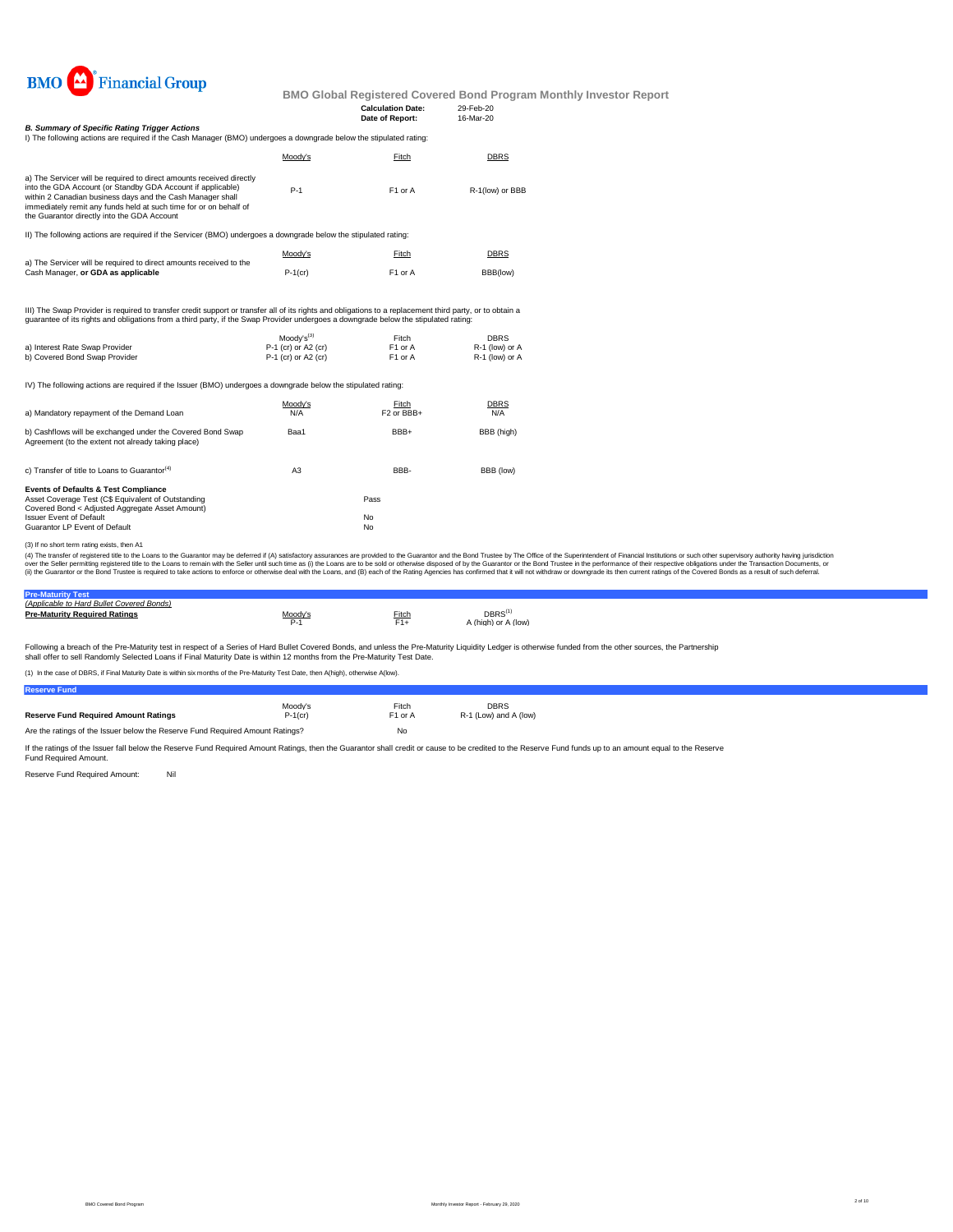

|                                                                                                                                                                                                                                                                                                                       |                                         | <b>Calculation Date:</b><br>Date of Report: | 29-Feb-20<br>16-Mar-20        |
|-----------------------------------------------------------------------------------------------------------------------------------------------------------------------------------------------------------------------------------------------------------------------------------------------------------------------|-----------------------------------------|---------------------------------------------|-------------------------------|
| <b>B. Summary of Specific Rating Trigger Actions</b><br>I) The following actions are required if the Cash Manager (BMO) undergoes a downgrade below the stipulated rating:                                                                                                                                            |                                         |                                             |                               |
|                                                                                                                                                                                                                                                                                                                       | Moody's                                 | Fitch                                       | <b>DBRS</b>                   |
| a) The Servicer will be required to direct amounts received directly<br>into the GDA Account (or Standby GDA Account if applicable)<br>within 2 Canadian business davs and the Cash Manager shall<br>immediately remit any funds held at such time for or on behalf of<br>the Guarantor directly into the GDA Account | $P-1$                                   | F <sub>1</sub> or A                         | R-1(low) or BBB               |
| II) The following actions are required if the Servicer (BMO) undergoes a downgrade below the stipulated rating:                                                                                                                                                                                                       |                                         |                                             |                               |
| a) The Servicer will be required to direct amounts received to the                                                                                                                                                                                                                                                    | Moody's                                 | Fitch                                       | <b>DBRS</b>                   |
| Cash Manager, or GDA as applicable                                                                                                                                                                                                                                                                                    | $P-1$ (cr)                              | F <sub>1</sub> or A                         | BBB(low)                      |
| III) The Swap Provider is required to transfer credit support or transfer all of its rights and obligations to a replacement third party, or to obtain a<br>quarantee of its rights and obligations from a third party, if the Swap Provider undergoes a downgrade below the stipulated rating:                       |                                         |                                             |                               |
| a) Interest Rate Swap Provider                                                                                                                                                                                                                                                                                        | $Modv's^{(3)}$<br>$P-1$ (cr) or A2 (cr) | Fitch<br>F <sub>1</sub> or A                | <b>DBRS</b><br>R-1 (low) or A |
| b) Covered Bond Swap Provider                                                                                                                                                                                                                                                                                         | P-1 (cr) or A2 (cr)                     | F1 or A                                     | R-1 (low) or A                |
| IV) The following actions are required if the Issuer (BMO) undergoes a downgrade below the stipulated rating:                                                                                                                                                                                                         |                                         |                                             |                               |

| a) Mandatory repayment of the Demand Loan                                                                                                                                                                                   | Moodv's<br>N/A | Fitch<br>F <sub>2</sub> or BB <sub>+</sub> | <b>DBRS</b><br>N/A |
|-----------------------------------------------------------------------------------------------------------------------------------------------------------------------------------------------------------------------------|----------------|--------------------------------------------|--------------------|
| b) Cashflows will be exchanged under the Covered Bond Swap<br>Agreement (to the extent not already taking place)                                                                                                            | Baa1           | BBB+                                       | BBB (high)         |
| c) Transfer of title to Loans to Guarantor <sup>(4)</sup>                                                                                                                                                                   | A3             | BBB-                                       | BBB (low)          |
| <b>Events of Defaults &amp; Test Compliance</b><br>Asset Coverage Test (C\$ Equivalent of Outstanding<br>Covered Bond < Adjusted Aggregate Asset Amount)<br><b>Issuer Event of Default</b><br>Guarantor LP Event of Default |                | Pass<br>No<br>No                           |                    |

<sup>(3)</sup> If no short term rating exists, then A1

(4) The transfer of registered title to the Loans to the Guarantor may be deferred if (A) satisfactory assurances are provided to the Guarantor and the Bond Trustee by The Office of the Superintendent of Financial Institut

| (Applicable to Hard Bullet Covered Bonds) |    |       |                                            |  |
|-------------------------------------------|----|-------|--------------------------------------------|--|
| <b>Pre-Maturity Required Ratings</b>      |    | Fitch | DBRS <sup>(1)</sup><br>\ (high) or A (low) |  |
|                                           | ν. | $F1+$ |                                            |  |
|                                           |    |       |                                            |  |

Following a breach of the Pre-Maturity test in respect of a Series of Hard Bullet Covered Bonds, and unless the Pre-Maturity Liquidity Ledger is otherwise funded from the other sources, the Partnership shall offer to sell Randomly Selected Loans if Final Maturity Date is within 12 months from the Pre-Maturity Test Date.

(1) In the case of DBRS, if Final Maturity Date is within six months of the Pre-Maturity Test Date, then A(high), otherwise A(low).

| <b>Reserve Fund</b>                                                           |            |                     |                       |  |
|-------------------------------------------------------------------------------|------------|---------------------|-----------------------|--|
|                                                                               | Moody's    | Fitch               | <b>DBRS</b>           |  |
| <b>Reserve Fund Required Amount Ratings</b>                                   | $P-1$ (cr) | F <sub>1</sub> or A | R-1 (Low) and A (low) |  |
| Are the ratings of the Issuer below the Reserve Fund Required Amount Ratings? |            | No                  |                       |  |

If the ratings of the Issuer fall below the Reserve Fund Required Amount Ratings, then the Guarantor shall credit or cause to be credited to the Reserve Fund funds up to an amount equal to the Reserve Fund Required Amount.

Reserve Fund Required Amount: Nil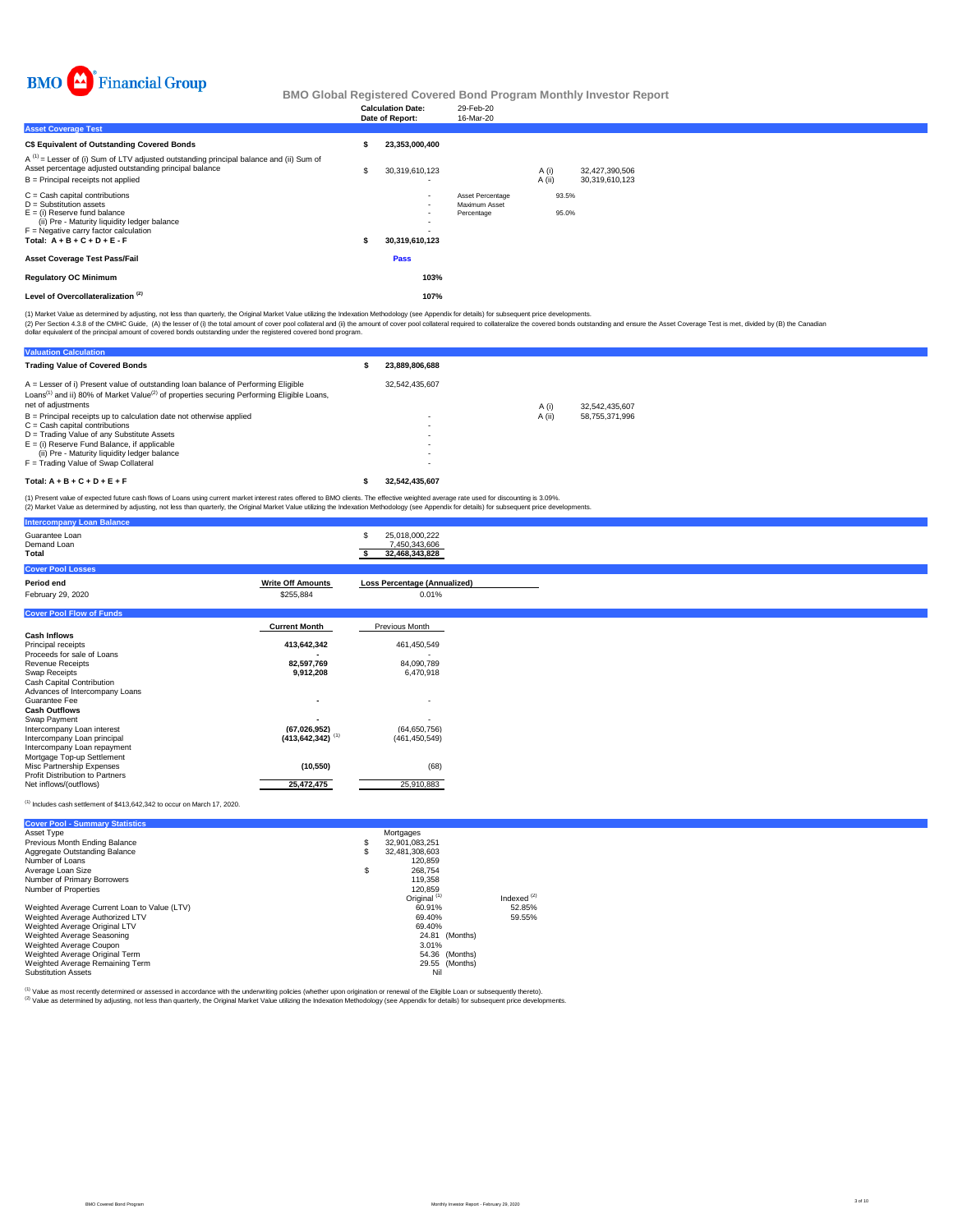

|                                                                                                                                                                                                                              | <b>Calculation Date:</b><br>Date of Report: | 29-Feb-20<br>16-Mar-20                          |                  |                                  |
|------------------------------------------------------------------------------------------------------------------------------------------------------------------------------------------------------------------------------|---------------------------------------------|-------------------------------------------------|------------------|----------------------------------|
| <b>Asset Coverage Test</b>                                                                                                                                                                                                   |                                             |                                                 |                  |                                  |
| C\$ Equivalent of Outstanding Covered Bonds                                                                                                                                                                                  | 23,353,000,400                              |                                                 |                  |                                  |
| $A^{(1)}$ = Lesser of (i) Sum of LTV adjusted outstanding principal balance and (ii) Sum of<br>Asset percentage adjusted outstanding principal balance<br>$B =$ Principal receipts not applied                               | 30,319,610,123                              |                                                 | A(i)<br>$A$ (ii) | 32,427,390,506<br>30.319.610.123 |
| $C =$ Cash capital contributions<br>$D =$ Substitution assets<br>$E =$ (i) Reserve fund balance<br>(ii) Pre - Maturity liquidity ledger balance<br>$F =$ Negative carry factor calculation<br>Total: $A + B + C + D + E - F$ | $\overline{\phantom{a}}$<br>30,319,610,123  | Asset Percentage<br>Maximum Asset<br>Percentage | 93.5%<br>95.0%   |                                  |
| <b>Asset Coverage Test Pass/Fail</b>                                                                                                                                                                                         | <b>Pass</b>                                 |                                                 |                  |                                  |
| <b>Regulatory OC Minimum</b>                                                                                                                                                                                                 | 103%                                        |                                                 |                  |                                  |
| Level of Overcollateralization <sup>(2)</sup>                                                                                                                                                                                | 107%                                        |                                                 |                  |                                  |
| (4) Market Value as determined by adjusting, not less than quarterly, the Original Market Value utilizing the Indovation Methodology (and Annapolis for detaile) for subsequent price dovelopments                           |                                             |                                                 |                  |                                  |

(2) Per Section 4.3.8 of the CMHC Guide, (A) the lesser of (i) the total amount of cover pool collateral and (i) the amount of cover pool collateral required to collateralize the covered bonds outstanding and ensure the As (1) Market Value as determined by adjusting, not less than quarterly, the Original Market Value utilizing the Indexation Methodology (see Appendix for details) for subsequent price developments.

| <b>Valuation Calculation</b>                                                                                                                                                                                                                                                                     |                |        |                |
|--------------------------------------------------------------------------------------------------------------------------------------------------------------------------------------------------------------------------------------------------------------------------------------------------|----------------|--------|----------------|
| <b>Trading Value of Covered Bonds</b>                                                                                                                                                                                                                                                            | 23.889.806.688 |        |                |
| A = Lesser of i) Present value of outstanding loan balance of Performing Eligible<br>Loans <sup>(1)</sup> and ii) 80% of Market Value <sup>(2)</sup> of properties securing Performing Eligible Loans,<br>net of adjustments                                                                     | 32.542.435.607 | A (i)  | 32.542.435.607 |
| $B =$ Principal receipts up to calculation date not otherwise applied<br>$C =$ Cash capital contributions<br>D = Trading Value of any Substitute Assets<br>$E =$ (i) Reserve Fund Balance, if applicable<br>(ii) Pre - Maturity liquidity ledger balance<br>F = Trading Value of Swap Collateral | ۰<br>۰<br>۰    | A (ii) | 58.755.371.996 |
| Total: $A + B + C + D + E + F$                                                                                                                                                                                                                                                                   | 32.542.435.607 |        |                |
| (4) Present unlug of overcoted future cost flows of Long using ourset market interest rates offered to PMO digate. The offertive weighted average rate used for discounting in 2,000/                                                                                                            |                |        |                |

(1) Present value of expected future cash flows of Loans using current market interest rates offered to BMO clients. The effective weighted average rate used for discounting is 3.09%.<br>(2) Market Value as determined by adju

| <b>Intercompany Loan Balance</b>                          |                                  |                                                         |
|-----------------------------------------------------------|----------------------------------|---------------------------------------------------------|
| Guarantee Loan<br>Demand Loan<br>Total                    |                                  | 25,018,000,222<br>£.<br>7,450,343,606<br>32,468,343,828 |
| <b>Cover Pool Losses</b>                                  |                                  |                                                         |
| Period end                                                | <b>Write Off Amounts</b>         | <b>Loss Percentage (Annualized)</b>                     |
| February 29, 2020                                         | \$255,884                        | 0.01%                                                   |
| <b>Cover Pool Flow of Funds</b>                           |                                  |                                                         |
|                                                           | <b>Current Month</b>             | Previous Month                                          |
| <b>Cash Inflows</b>                                       |                                  |                                                         |
| Principal receipts                                        | 413,642,342                      | 461,450,549                                             |
| Proceeds for sale of Loans<br><b>Revenue Receipts</b>     | 82,597,769                       | 84,090,789                                              |
| Swap Receipts                                             | 9,912,208                        | 6,470,918                                               |
| Cash Capital Contribution                                 |                                  |                                                         |
| Advances of Intercompany Loans                            |                                  |                                                         |
| Guarantee Fee<br><b>Cash Outflows</b>                     | $\overline{\phantom{a}}$         |                                                         |
| Swap Payment                                              |                                  |                                                         |
| Intercompany Loan interest                                | (67.026.952)                     | (64.650.756)                                            |
| Intercompany Loan principal                               | $(413, 642, 342)$ <sup>(1)</sup> | (461, 450, 549)                                         |
| Intercompany Loan repayment<br>Mortgage Top-up Settlement |                                  |                                                         |
| Misc Partnership Expenses                                 | (10, 550)                        | (68)                                                    |
| Profit Distribution to Partners                           |                                  |                                                         |
| Net inflows/(outflows)                                    | 25,472,475                       | 25,910,883                                              |

 $^{(1)}$  Includes cash settlement of \$413,642,342 to occur on March 17, 2020.

| <b>Cover Pool - Summary Statistics</b>       |                         |                |               |
|----------------------------------------------|-------------------------|----------------|---------------|
| Asset Type                                   | Mortgages               |                |               |
| Previous Month Ending Balance                | \$<br>32.901.083.251    |                |               |
| Aggregate Outstanding Balance                | \$<br>32.481.308.603    |                |               |
| Number of Loans                              | 120.859                 |                |               |
| Average Loan Size                            | \$<br>268.754           |                |               |
| Number of Primary Borrowers                  | 119,358                 |                |               |
| Number of Properties                         | 120.859                 |                |               |
|                                              | Original <sup>(1)</sup> |                | Indexed $(2)$ |
| Weighted Average Current Loan to Value (LTV) | 60.91%                  |                | 52.85%        |
| Weighted Average Authorized LTV              | 69.40%                  |                | 59.55%        |
| Weighted Average Original LTV                | 69.40%                  |                |               |
| Weighted Average Seasoning                   |                         | 24.81 (Months) |               |
| Weighted Average Coupon                      | 3.01%                   |                |               |
| Weighted Average Original Term               |                         | 54.36 (Months) |               |
| Weighted Average Remaining Term              |                         | 29.55 (Months) |               |
| <b>Substitution Assets</b>                   | Nil                     |                |               |

<sup>(1)</sup> Value as most recently determined or assessed in accordance with the underwriting policies (whether upon origination or renewal of the Eligible Loan or subsequently thereto).<br><sup>(2)</sup> Value as determined by adjusting, n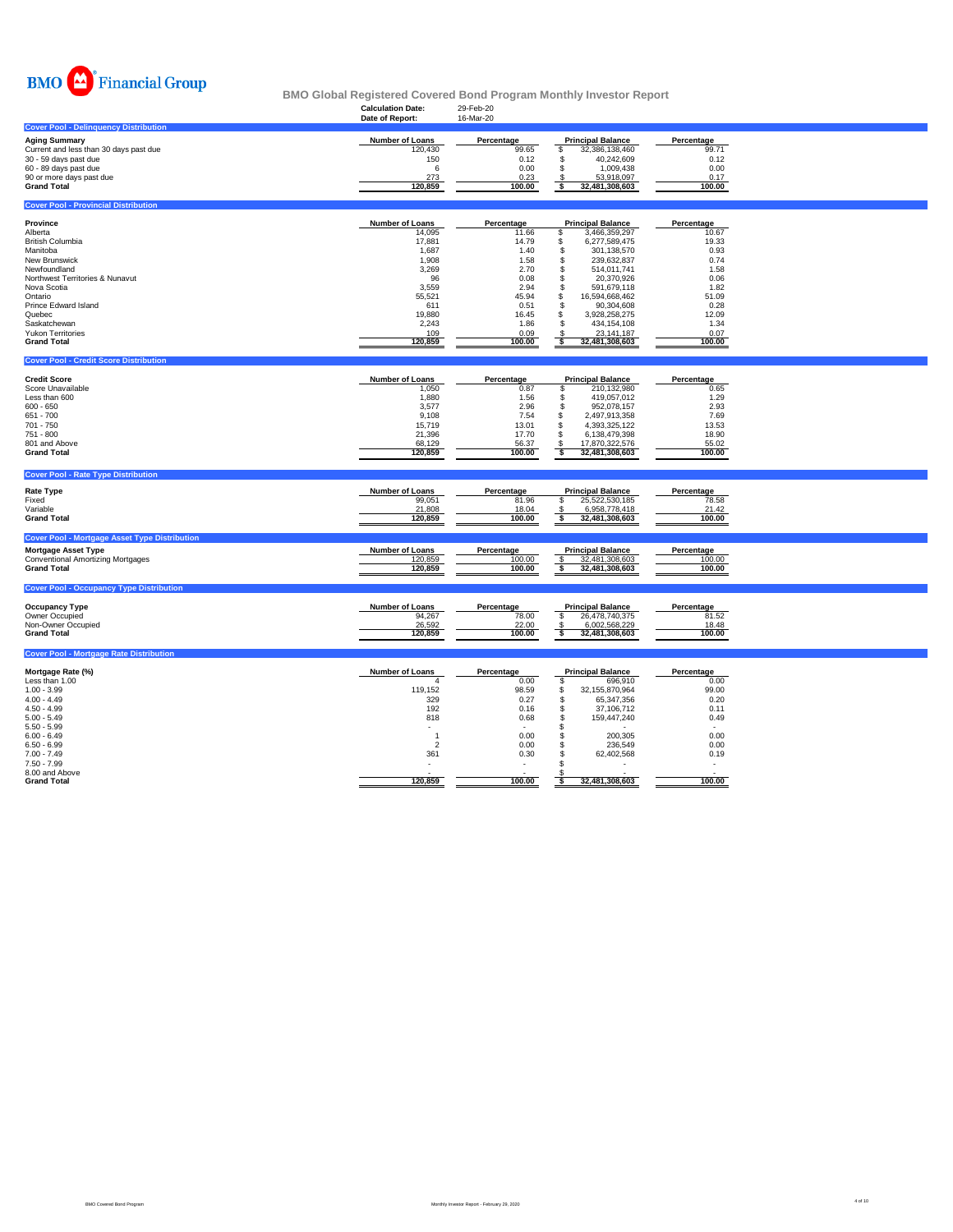

|                                                                                                                                                                                                                                                              | <b>Calculation Date:</b><br>Date of Report:                                                                                                | 29-Feb-20<br>16-Mar-20                                                                                                   |                                                                                                                                                                                                                                                                                                                             |                                                                                                                          |  |
|--------------------------------------------------------------------------------------------------------------------------------------------------------------------------------------------------------------------------------------------------------------|--------------------------------------------------------------------------------------------------------------------------------------------|--------------------------------------------------------------------------------------------------------------------------|-----------------------------------------------------------------------------------------------------------------------------------------------------------------------------------------------------------------------------------------------------------------------------------------------------------------------------|--------------------------------------------------------------------------------------------------------------------------|--|
| <b>Cover Pool - Delinguency Distribution</b>                                                                                                                                                                                                                 |                                                                                                                                            |                                                                                                                          |                                                                                                                                                                                                                                                                                                                             |                                                                                                                          |  |
| <b>Aging Summary</b><br>Current and less than 30 days past due<br>30 - 59 days past due<br>60 - 89 days past due<br>90 or more days past due<br><b>Grand Total</b>                                                                                           | Number of Loans<br>120,430<br>150<br>6<br>273<br>120,859                                                                                   | Percentage<br>99.65<br>0.12<br>0.00<br>0.23<br>100.00                                                                    | <b>Principal Balance</b><br>\$<br>32,386,138,460<br>\$<br>40,242,609<br>\$<br>1,009,438<br>53,918,097<br>\$<br>\$<br>32,481,308,603                                                                                                                                                                                         | Percentage<br>99.71<br>0.12<br>0.00<br>0.17<br>100.00                                                                    |  |
| <b>Cover Pool - Provincial Distribution</b>                                                                                                                                                                                                                  |                                                                                                                                            |                                                                                                                          |                                                                                                                                                                                                                                                                                                                             |                                                                                                                          |  |
| Province<br>Alberta<br><b>British Columbia</b><br>Manitoba<br>New Brunswick<br>Newfoundland<br>Northwest Territories & Nunavut<br>Nova Scotia<br>Ontario<br>Prince Edward Island<br>Quebec<br>Saskatchewan<br><b>Yukon Territories</b><br><b>Grand Total</b> | <b>Number of Loans</b><br>14,095<br>17,881<br>1,687<br>1.908<br>3,269<br>96<br>3,559<br>55,521<br>611<br>19,880<br>2,243<br>109<br>120,859 | Percentage<br>11.66<br>14.79<br>1.40<br>1.58<br>2.70<br>0.08<br>2.94<br>45.94<br>0.51<br>16.45<br>1.86<br>0.09<br>100.00 | <b>Principal Balance</b><br>\$<br>3,466,359,297<br>\$<br>6,277,589,475<br>\$<br>301,138,570<br>\$<br>239.632.837<br>\$<br>514,011,741<br>\$<br>20,370,926<br>$\mathbb S$<br>591,679,118<br>\$<br>16,594,668,462<br>\$<br>90,304,608<br>\$<br>3.928.258.275<br>\$<br>434,154,108<br>23,141,187<br>\$<br>\$<br>32,481,308,603 | Percentage<br>10.67<br>19.33<br>0.93<br>0.74<br>1.58<br>0.06<br>1.82<br>51.09<br>0.28<br>12.09<br>1.34<br>0.07<br>100.00 |  |
| <b>Cover Pool - Credit Score Distribution</b>                                                                                                                                                                                                                |                                                                                                                                            |                                                                                                                          |                                                                                                                                                                                                                                                                                                                             |                                                                                                                          |  |
| <b>Credit Score</b><br>Score Unavailable<br>Less than 600<br>$600 - 650$<br>651 - 700<br>701 - 750<br>751 - 800<br>801 and Above<br><b>Grand Total</b>                                                                                                       | <b>Number of Loans</b><br>1,050<br>1.880<br>3,577<br>9,108<br>15,719<br>21,396<br>68,129<br>120,859                                        | Percentage<br>0.87<br>1.56<br>2.96<br>7.54<br>13.01<br>17.70<br>56.37<br>100.00                                          | <b>Principal Balance</b><br>\$<br>210,132,980<br>\$<br>419.057.012<br>\$<br>952,078,157<br>\$<br>2,497,913,358<br>4,393,325,122<br>\$<br>\$<br>6,138,479,398<br>17,870,322,576<br>S<br>\$<br>32,481,308,603                                                                                                                 | Percentage<br>0.65<br>1.29<br>2.93<br>7.69<br>13.53<br>18.90<br>55.02<br>100.00                                          |  |
| <b>Cover Pool - Rate Type Distribution</b>                                                                                                                                                                                                                   |                                                                                                                                            |                                                                                                                          |                                                                                                                                                                                                                                                                                                                             |                                                                                                                          |  |
| <b>Rate Type</b><br>Fixed<br>Variable<br><b>Grand Total</b><br><b>Cover Pool - Mortgage Asset Type Distribution</b><br><b>Mortgage Asset Type</b>                                                                                                            | Number of Loans<br>99,051<br>21,808<br>120,859<br><b>Number of Loans</b>                                                                   | Percentage<br>81.96<br>18.04<br>100.00<br>Percentage                                                                     | <b>Principal Balance</b><br>\$<br>25,522,530,185<br>6,958,778,418<br>\$<br>\$<br>32,481,308,603<br><b>Principal Balance</b>                                                                                                                                                                                                 | Percentage<br>78.58<br>21.42<br>100.00<br>Percentage                                                                     |  |
| <b>Conventional Amortizing Mortgages</b><br><b>Grand Total</b>                                                                                                                                                                                               | 120,859<br>120,859                                                                                                                         | 100.00<br>100.00                                                                                                         | 32,481,308,603<br>S<br>\$<br>32,481,308,603                                                                                                                                                                                                                                                                                 | 100.00<br>100.00                                                                                                         |  |
| <b>Cover Pool - Occupancy Type Distribution</b>                                                                                                                                                                                                              |                                                                                                                                            |                                                                                                                          |                                                                                                                                                                                                                                                                                                                             |                                                                                                                          |  |
| <b>Occupancy Type</b><br>Owner Occupied<br>Non-Owner Occupied<br><b>Grand Total</b>                                                                                                                                                                          | <b>Number of Loans</b><br>94,267<br>26,592<br>120,859                                                                                      | Percentage<br>78.00<br>22.00<br>100.00                                                                                   | <b>Principal Balance</b><br>\$<br>26,478,740,375<br>6,002,568,229<br>-S<br>5<br>32,481,308,603                                                                                                                                                                                                                              | Percentage<br>81.52<br>18.48<br>100.00                                                                                   |  |
| <b>Cover Pool - Mortgage Rate Distribution</b>                                                                                                                                                                                                               |                                                                                                                                            |                                                                                                                          |                                                                                                                                                                                                                                                                                                                             |                                                                                                                          |  |
| Mortgage Rate (%)<br>Less than 1.00<br>$1.00 - 3.99$<br>$4.00 - 4.49$<br>$4.50 - 4.99$<br>$5.00 - 5.49$<br>$5.50 - 5.99$<br>$6.00 - 6.49$<br>$6.50 - 6.99$<br>$7.00 - 7.49$                                                                                  | <b>Number of Loans</b><br>4<br>119,152<br>329<br>192<br>818<br>$\overline{2}$<br>361                                                       | Percentage<br>0.00<br>98.59<br>0.27<br>0.16<br>0.68<br>0.00<br>0.00<br>0.30                                              | <b>Principal Balance</b><br>\$<br>696,910<br>\$<br>32,155,870,964<br>\$<br>65,347,356<br>\$<br>37,106,712<br>\$<br>159,447,240<br>\$<br>\$<br>200,305<br>\$<br>236,549<br>\$.<br>62,402,568                                                                                                                                 | Percentage<br>0.00<br>99.00<br>0.20<br>0.11<br>0.49<br>0.00<br>0.00<br>0.19                                              |  |

7.50 - 7.99 - - \$ - - 8.00 and Above - - \$ - - **Grand Total 120,859 100.00 \$ 32,481,308,603 100.00**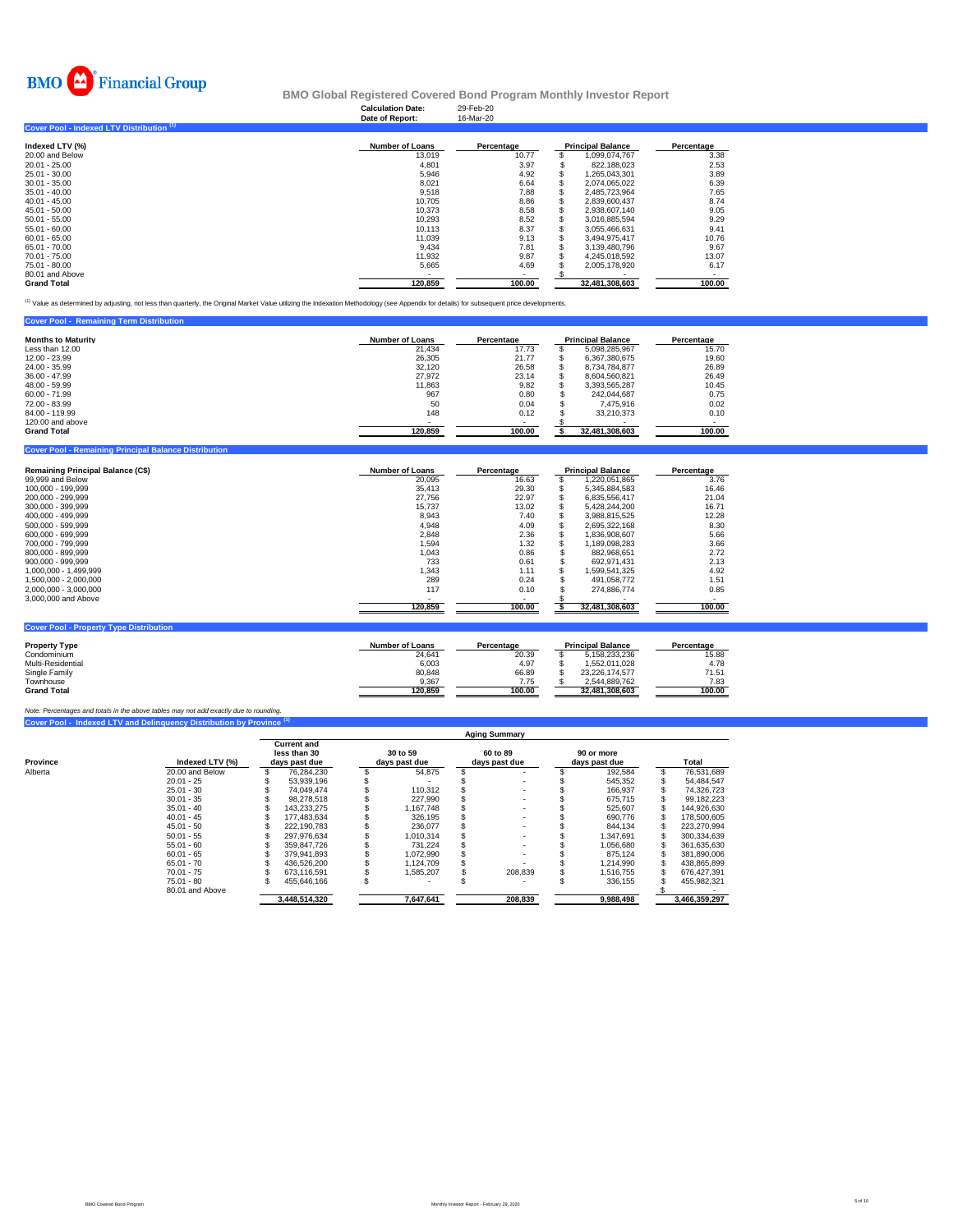

**Cover Pool - Remaining Principal Balance Distribution** 

**Cover 20 - Property Type Dist** 

## **BMO Global Registered Covered Bond Program Monthly Investor Report**

|                                           | <b>Calculation Date:</b><br>Date of Report: | 29-Feb-20<br>16-Mar-20 |                          |                          |
|-------------------------------------------|---------------------------------------------|------------------------|--------------------------|--------------------------|
| Cover Pool - Indexed LTV Distribution (1) |                                             |                        |                          |                          |
| Indexed LTV (%)                           | <b>Number of Loans</b>                      | Percentage             | <b>Principal Balance</b> | Percentage               |
| 20.00 and Below                           | 13,019                                      | 10.77                  | 1,099,074,767            | 3.38                     |
| $20.01 - 25.00$                           | 4,801                                       | 3.97                   | 822,188,023              | 2.53                     |
| 25.01 - 30.00                             | 5,946                                       | 4.92                   | 1,265,043,301            | 3.89                     |
| $30.01 - 35.00$                           | 8,021                                       | 6.64                   | 2.074.065.022            | 6.39                     |
| $35.01 - 40.00$                           | 9,518                                       | 7.88                   | 2,485,723,964            | 7.65                     |
| $40.01 - 45.00$                           | 10.705                                      | 8.86                   | 2,839,600,437            | 8.74                     |
| $45.01 - 50.00$                           | 10.373                                      | 8.58                   | 2.938.607.140            | 9.05                     |
| $50.01 - 55.00$                           | 10,293                                      | 8.52                   | 3,016,885,594            | 9.29                     |
| $55.01 - 60.00$                           | 10.113                                      | 8.37                   | 3.055.466.631            | 9.41                     |
| $60.01 - 65.00$                           | 11.039                                      | 9.13                   | 3,494,975,417            | 10.76                    |
| 65.01 - 70.00                             | 9.434                                       | 7.81                   | 3.139.480.796            | 9.67                     |
| 70.01 - 75.00                             | 11,932                                      | 9.87                   | 4,245,018,592            | 13.07                    |
| 75.01 - 80.00                             | 5,665                                       | 4.69                   | 2,005,178,920            | 6.17                     |
| 80.01 and Above                           |                                             | $\sim$                 |                          | $\overline{\phantom{a}}$ |
| <b>Grand Total</b>                        | 120,859                                     | 100.00                 | 32,481,308,603           | 100.00                   |

<sup>(1)</sup> Value as determined by adjusting, not less than quarterly, the Original Market Value utilizing the Indexation Methodology (see Appendix for details) for subsequent price developments.

| <b>Cover Pool - Remaining Term Distribution</b> |                        |            |                          |            |
|-------------------------------------------------|------------------------|------------|--------------------------|------------|
| <b>Months to Maturity</b>                       | <b>Number of Loans</b> | Percentage | <b>Principal Balance</b> | Percentage |
| Less than 12.00                                 | 21.434                 | 17.73      | 5.098.285.967            | 15.70      |
| 12.00 - 23.99                                   | 26.305                 | 21.77      | 6.367.380.675            | 19.60      |
| 24.00 - 35.99                                   | 32.120                 | 26.58      | 8.734.784.877            | 26.89      |
| $36.00 - 47.99$                                 | 27.972                 | 23.14      | 8.604.560.821            | 26.49      |
| 48.00 - 59.99                                   | 11.863                 | 9.82       | 3.393.565.287            | 10.45      |
| $60.00 - 71.99$                                 | 967                    | 0.80       | 242.044.687              | 0.75       |
| 72.00 - 83.99                                   | 50                     | 0.04       | 7.475.916                | 0.02       |
| 84.00 - 119.99                                  | 148                    | 0.12       | 33.210.373               | 0.10       |
| 120,00 and above                                |                        |            |                          |            |
| <b>Grand Total</b>                              | 120.859                | 100.00     | 32,481,308,603           | 100.00     |

| <b>Remaining Principal Balance (C\$)</b> | <b>Number of Loans</b> | Percentage | <b>Principal Balance</b> |                | Percentage |
|------------------------------------------|------------------------|------------|--------------------------|----------------|------------|
| 99,999 and Below                         | 20.095                 | 16.63      |                          | 1,220,051,865  | 3.76       |
| 100.000 - 199.999                        | 35.413                 | 29.30      |                          | 5.345.884.583  | 16.46      |
| 200.000 - 299.999                        | 27.756                 | 22.97      |                          | 6.835.556.417  | 21.04      |
| 300.000 - 399.999                        | 15.737                 | 13.02      |                          | 5.428.244.200  | 16.71      |
| 400.000 - 499.999                        | 8,943                  | 7.40       |                          | 3.988.815.525  | 12.28      |
| 500.000 - 599.999                        | 4,948                  | 4.09       |                          | 2.695.322.168  | 8.30       |
| 600.000 - 699.999                        | 2,848                  | 2.36       |                          | 1.836.908.607  | 5.66       |
| 700.000 - 799.999                        | 1.594                  | 1.32       |                          | 1.189.098.283  | 3.66       |
| 800.000 - 899.999                        | 1.043                  | 0.86       |                          | 882.968.651    | 2.72       |
| 900.000 - 999.999                        | 733                    | 0.61       |                          | 692.971.431    | 2.13       |
| 1.000.000 - 1.499.999                    | 1.343                  | 1.11       |                          | 1.599.541.325  | 4.92       |
| 1.500.000 - 2.000.000                    | 289                    | 0.24       |                          | 491.058.772    | 1.51       |
| 2.000.000 - 3.000.000                    | 117                    | 0.10       |                          | 274.886.774    | 0.85       |
| 3,000,000 and Above                      |                        | ۰          |                          |                |            |
|                                          | 120,859                | 100.00     |                          | 32,481,308,603 | 100.00     |

| <b>Property Type</b> | <b>Number of Loans</b> | Percentage | <b>Principal Balance</b> | Percentage |
|----------------------|------------------------|------------|--------------------------|------------|
| Condominium          | 24.641                 | 20.39      | 5.158.233.236            | 15.88      |
| Multi-Residential    | 6,003                  | 4.97       | 1.552.011.028            | 4.78       |
| Single Family        | 80.848                 | 66.89      | 23.226.174.577           | 71.51      |
| Townhouse            | 9.367                  | 7.75       | 2.544.889.762            | 7.83       |
| <b>Grand Total</b>   | 120.859                | 100.00     | 32.481.308.603           | 100.00     |

# **Cover Pool - Indexed LTV and Delinquency Distribution by Province (1)** *Note: Percentages and totals in the above tables may not add exactly due to rounding.*

|          |                 | <b>Aging Summary</b>                                |               |  |                           |  |                           |  |                             |  |               |  |  |  |
|----------|-----------------|-----------------------------------------------------|---------------|--|---------------------------|--|---------------------------|--|-----------------------------|--|---------------|--|--|--|
| Province | Indexed LTV (%) | <b>Current and</b><br>less than 30<br>days past due |               |  | 30 to 59<br>days past due |  | 60 to 89<br>days past due |  | 90 or more<br>days past due |  | Total         |  |  |  |
| Alberta  | 20.00 and Below |                                                     | 76,284,230    |  | 54,875                    |  |                           |  | 192,584                     |  | 76,531,689    |  |  |  |
|          | $20.01 - 25$    |                                                     | 53.939.196    |  |                           |  |                           |  | 545.352                     |  | 54.484.547    |  |  |  |
|          | $25.01 - 30$    |                                                     | 74.049.474    |  | 110.312                   |  |                           |  | 166.937                     |  | 74,326,723    |  |  |  |
|          | $30.01 - 35$    |                                                     | 98.278.518    |  | 227.990                   |  |                           |  | 675.715                     |  | 99.182.223    |  |  |  |
|          | $35.01 - 40$    |                                                     | 143.233.275   |  | 1.167.748                 |  |                           |  | 525.607                     |  | 144.926.630   |  |  |  |
|          | $40.01 - 45$    |                                                     | 177.483.634   |  | 326,195                   |  |                           |  | 690.776                     |  | 178,500,605   |  |  |  |
|          | $45.01 - 50$    |                                                     | 222.190.783   |  | 236,077                   |  |                           |  | 844.134                     |  | 223.270.994   |  |  |  |
|          | $50.01 - 55$    |                                                     | 297.976.634   |  | 1.010.314                 |  |                           |  | 1.347.691                   |  | 300.334.639   |  |  |  |
|          | $55.01 - 60$    |                                                     | 359.847.726   |  | 731.224                   |  |                           |  | 1.056.680                   |  | 361,635,630   |  |  |  |
|          | $60.01 - 65$    |                                                     | 379.941.893   |  | 1,072,990                 |  |                           |  | 875.124                     |  | 381.890.006   |  |  |  |
|          | $65.01 - 70$    |                                                     | 436.526.200   |  | 1.124.709                 |  |                           |  | 1.214.990                   |  | 438.865.899   |  |  |  |
|          | $70.01 - 75$    |                                                     | 673.116.591   |  | 1.585.207                 |  | 208.839                   |  | 1.516.755                   |  | 676.427.391   |  |  |  |
|          | $75.01 - 80$    |                                                     | 455.646.166   |  |                           |  |                           |  | 336.155                     |  | 455.982.321   |  |  |  |
|          | 80.01 and Above |                                                     |               |  |                           |  |                           |  |                             |  |               |  |  |  |
|          |                 |                                                     | 3.448.514.320 |  | 7,647,641                 |  | 208,839                   |  | 9,988,498                   |  | 3,466,359,297 |  |  |  |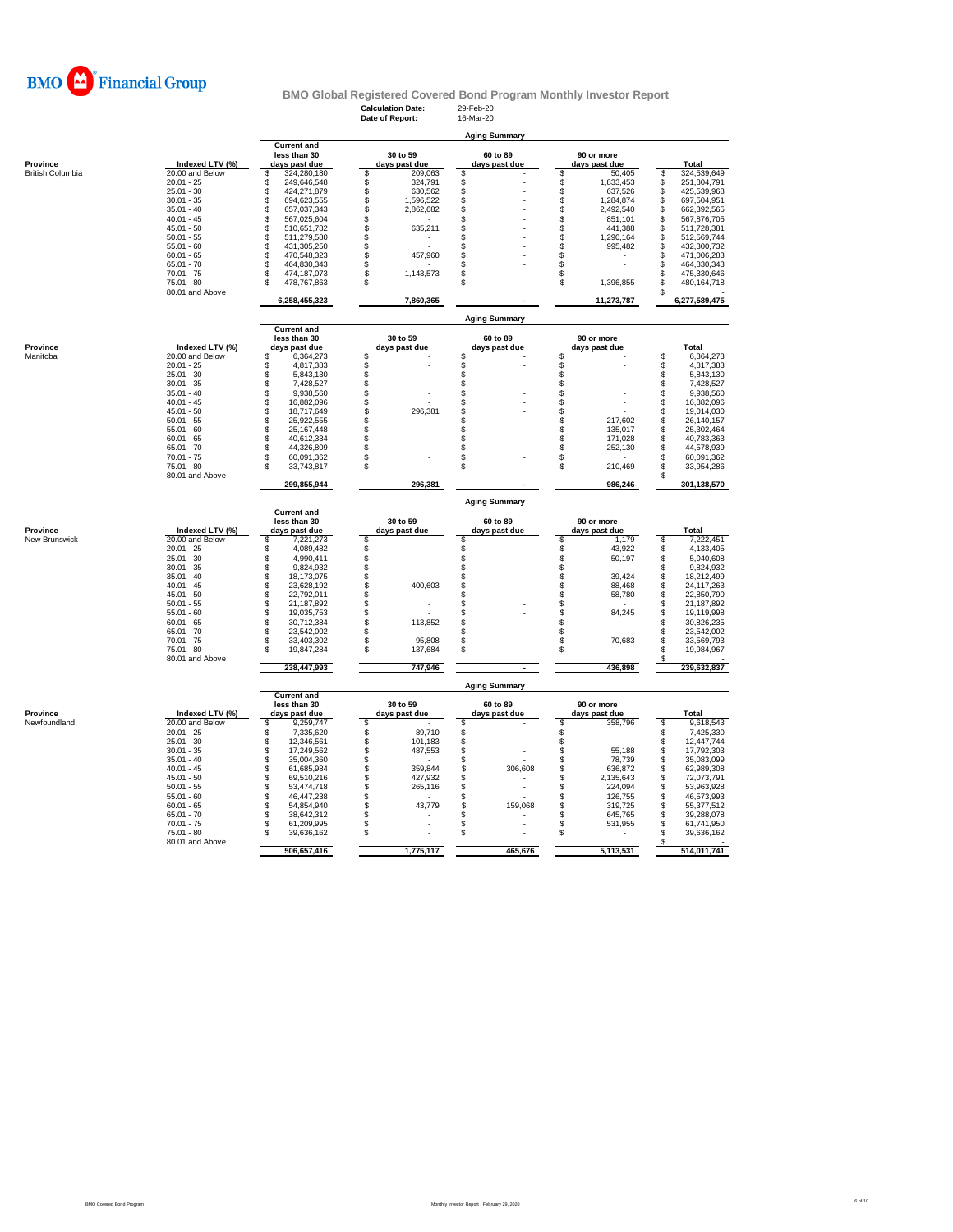

|                                     |                                    |                                        | <b>Calculation Date:</b><br>Date of Report: | 29-Feb-20<br>16-Mar-20    |                                    |                                                       |
|-------------------------------------|------------------------------------|----------------------------------------|---------------------------------------------|---------------------------|------------------------------------|-------------------------------------------------------|
|                                     |                                    |                                        |                                             | <b>Aging Summary</b>      |                                    |                                                       |
|                                     |                                    | <b>Current and</b>                     |                                             |                           |                                    |                                                       |
|                                     |                                    | less than 30                           | 30 to 59                                    | 60 to 89                  | 90 or more                         |                                                       |
| Province<br><b>British Columbia</b> | Indexed LTV (%)<br>20.00 and Below | days past due<br>324,280,180<br>\$     | days past due<br>\$<br>209,063              | days past due<br>\$       | days past due<br>\$<br>50,405      | Total<br>\$<br>324,539,649                            |
|                                     | $20.01 - 25$                       | \$<br>249,646,548                      | \$<br>324,791                               | \$                        | \$<br>1,833,453                    | \$<br>251,804,791                                     |
|                                     | $25.01 - 30$                       | \$<br>424,271,879                      | \$<br>630,562                               | \$                        | $\hat{\mathbb{S}}$<br>637,526      | $\mathbb{S}$<br>425,539,968                           |
|                                     | $30.01 - 35$<br>$35.01 - 40$       | S<br>694,623,555<br>\$<br>657,037,343  | S<br>1,596,522<br>S<br>2,862,682            | \$<br>S                   | \$<br>1,284,874<br>\$<br>2,492,540 | S<br>697,504,951<br>S<br>662,392,565                  |
|                                     | $40.01 - 45$                       | \$<br>567,025,604                      | \$                                          | \$                        | \$<br>851,101                      | \$<br>567,876,705                                     |
|                                     | $45.01 - 50$                       | \$<br>510,651,782                      | \$<br>635,211                               | S                         | \$<br>441.388                      | \$<br>511,728,381                                     |
|                                     | $50.01 - 55$                       | \$<br>511,279,580                      | \$                                          | S                         | \$<br>1,290,164                    | \$<br>512,569,744                                     |
|                                     | $55.01 - 60$<br>$60.01 - 65$       | \$<br>431,305,250<br>\$<br>470,548,323 | \$<br>\$<br>457,960                         | S<br>\$                   | \$<br>995,482<br>\$                | $\ddot{\text{s}}$<br>432,300,732<br>\$<br>471,006,283 |
|                                     | $65.01 - 70$                       | \$<br>464,830,343                      | \$                                          | S                         | \$                                 | \$<br>464,830,343                                     |
|                                     | $70.01 - 75$                       | \$<br>474,187,073                      | 1,143,573<br>S                              | S                         | \$                                 | \$<br>475,330,646                                     |
|                                     | $75.01 - 80$                       | 478,767,863<br>S                       | \$                                          | S                         | \$<br>1,396,855                    | 480, 164, 718<br>\$                                   |
|                                     | 80.01 and Above                    | 6,258,455,323                          | 7,860,365                                   |                           | 11,273,787                         | s<br>6,277,589,475                                    |
|                                     |                                    |                                        |                                             |                           |                                    |                                                       |
|                                     |                                    | <b>Current and</b>                     |                                             | <b>Aging Summary</b>      |                                    |                                                       |
|                                     |                                    | less than 30                           | 30 to 59                                    | 60 to 89                  | 90 or more                         |                                                       |
| Province                            | Indexed LTV (%)                    | days past due                          | days past due                               | days past due<br>S        | days past due                      | Total<br>S                                            |
| Manitoba                            | 20.00 and Below<br>$20.01 - 25$    | 6,364,273<br>\$<br>4.817.383<br>\$     | \$<br>\$                                    | S                         | \$                                 | 6,364,273<br>4,817,383<br>\$                          |
|                                     | $25.01 - 30$                       | \$<br>5,843,130                        | \$                                          | \$                        | \$                                 | S<br>5,843,130                                        |
|                                     | $30.01 - 35$                       | \$<br>7,428,527                        | \$                                          | \$                        | \$                                 | 7,428,527<br>\$                                       |
|                                     | $35.01 - 40$                       | \$<br>9,938,560                        | \$                                          | S                         | \$                                 | \$<br>9,938,560                                       |
|                                     | $40.01 - 45$<br>$45.01 - 50$       | \$<br>16,882,096<br>\$<br>18,717,649   | \$<br>\$<br>296,381                         | S<br>S                    | \$<br>\$                           | \$<br>16,882,096<br>\$<br>19,014,030                  |
|                                     | $50.01 - 55$                       | \$<br>25,922,555                       | \$                                          | S                         | \$<br>217,602                      | \$<br>26,140,157                                      |
|                                     | $55.01 - 60$                       | \$<br>25,167,448                       | \$                                          | S                         | \$<br>135,017                      | \$<br>25,302,464                                      |
|                                     | $60.01 - 65$                       | \$<br>40,612,334                       | \$                                          | \$                        | \$<br>171,028                      | \$<br>40,783,363                                      |
|                                     | $65.01 - 70$<br>$70.01 - 75$       | \$<br>44,326,809<br>\$<br>60,091,362   | \$<br>\$                                    | S<br>\$                   | \$<br>252,130<br>\$                | 44,578,939<br>\$<br>\$<br>60,091,362                  |
|                                     | $75.01 - 80$                       | \$<br>33,743,817                       | \$                                          | S                         | \$<br>210,469                      | \$<br>33,954,286                                      |
|                                     | 80.01 and Above                    |                                        |                                             |                           |                                    | £.                                                    |
|                                     |                                    | 299,855,944                            | 296.381                                     |                           | 986.246                            | 301,138,570                                           |
|                                     |                                    | <b>Current and</b>                     |                                             | <b>Aging Summary</b>      |                                    |                                                       |
|                                     |                                    | less than 30                           | 30 to 59                                    | 60 to 89                  | 90 or more                         |                                                       |
| Province                            | Indexed LTV (%)                    | days past due                          | days past due                               | days past due             | days past due                      | Total                                                 |
| New Brunswick                       | 20.00 and Below                    | \$<br>7,221,273                        | S                                           | S                         | \$<br>1,179                        | 7,222,451<br>\$                                       |
|                                     | $20.01 - 25$<br>$25.01 - 30$       | \$<br>4.089.482<br>4,990,411           | \$                                          | \$<br>\$                  | \$<br>43,922<br>50,197             | \$<br>4,133,405<br>5,040,608<br>\$                    |
|                                     | $30.01 - 35$                       | \$<br>9,824,932                        | \$<br>÷.                                    | \$                        | \$                                 | \$<br>9,824,932                                       |
|                                     | $35.01 - 40$                       | \$<br>18,173,075                       | \$                                          | S                         | \$<br>39.424                       | \$<br>18,212,499                                      |
|                                     | $40.01 - 45$                       | \$<br>23,628,192                       | \$<br>400,603                               | S                         | \$<br>88,468                       | 24, 117, 263<br>\$                                    |
|                                     | $45.01 - 50$<br>$50.01 - 55$       | \$<br>22,792,011<br>\$<br>21.187.892   | \$<br>\$                                    | S<br>S                    | $\ddot{s}$<br>58,780<br>\$         | 22,850,790<br>\$<br>21,187,892<br>S                   |
|                                     | $55.01 - 60$                       | \$<br>19,035,753                       | \$                                          | S                         | \$<br>84,245                       | 19,119,998<br>S                                       |
|                                     | $60.01 - 65$                       | ś<br>30,712,384                        | \$                                          | S                         | $\ddot{\$}$                        | 30,826,235<br>S                                       |
|                                     |                                    |                                        | 113,852                                     |                           | \$                                 |                                                       |
|                                     | $65.01 - 70$                       | \$<br>23,542,002                       | \$                                          | S                         |                                    | \$<br>23,542,002                                      |
|                                     | $70.01 - 75$                       | \$<br>33,403,302                       | \$<br>95,808                                | S                         | \$<br>70,683                       | \$<br>33,569,793                                      |
|                                     | $75.01 - 80$<br>80.01 and Above    | \$<br>19,847,284                       | \$<br>137,684                               | S                         | \$                                 | 19,984,967<br>S                                       |
|                                     |                                    | 238,447,993                            | 747,946                                     | $\blacksquare$            | 436,898                            | 239,632,837                                           |
|                                     |                                    |                                        |                                             | <b>Aging Summary</b>      |                                    |                                                       |
|                                     |                                    | <b>Current and</b>                     |                                             |                           |                                    |                                                       |
| Province                            | Indexed LTV (%)                    | less than 30<br>days past due          | 30 to 59                                    | 60 to 89<br>days past due | 90 or more<br>days past due        | Total                                                 |
| Newfoundland                        | 20.00 and Below                    | \$<br>9,259,747                        | days past due                               | S                         | \$<br>358,796                      | \$<br>9,618,543                                       |
|                                     | $20.01 - 25$                       | \$<br>7,335,620                        | \$<br>89.710                                | \$                        | $\ddot{\$}$                        | \$<br>7,425,330                                       |
|                                     | $25.01 - 30$                       | \$<br>12.346.561                       | \$<br>101.183                               | \$                        | \$                                 | \$<br>12.447.744                                      |
|                                     | $30.01 - 35$<br>$35.01 - 40$       | \$<br>17,249,562<br>\$<br>35,004,360   | \$<br>487,553<br>\$                         | \$<br>S                   | \$<br>55,188<br>78,739             | \$<br>17,792,303<br>\$<br>35,083,099                  |
|                                     | $40.01 - 45$                       | \$<br>61,685,984                       | \$<br>359,844                               | \$<br>306,608             | \$<br>636,872<br>\$                | \$<br>62,989,308                                      |
|                                     | $45.01 - 50$                       | \$<br>69,510,216                       | \$<br>427,932                               | \$                        | \$<br>2,135,643                    | \$<br>72,073,791                                      |
|                                     | $50.01 - 55$                       | \$<br>53,474,718                       | \$<br>265,116                               | \$                        | \$<br>224,094                      | \$<br>53,963,928                                      |
|                                     | $55.01 - 60$                       | \$<br>46,447,238                       | \$                                          | \$                        | \$<br>126,755                      | \$<br>46,573,993                                      |
|                                     | $60.01 - 65$<br>$65.01 - 70$       | \$<br>54,854,940<br>\$<br>38,642,312   | \$<br>43,779<br>\$                          | \$<br>159,068<br>\$       | \$<br>319,725<br>\$<br>645,765     | \$<br>55,377,512<br>\$<br>39,288,078                  |
|                                     | $70.01 - 75$                       | 61,209,995<br>\$                       | \$                                          | \$                        | \$<br>531,955                      | 61,741,950<br>\$                                      |
|                                     | $75.01 - 80$<br>80.01 and Above    | \$<br>39,636,162                       | \$                                          | \$                        | \$                                 | \$<br>39,636,162<br>s                                 |

**BMO Global Registered Covered Bond Program Monthly Investor Report**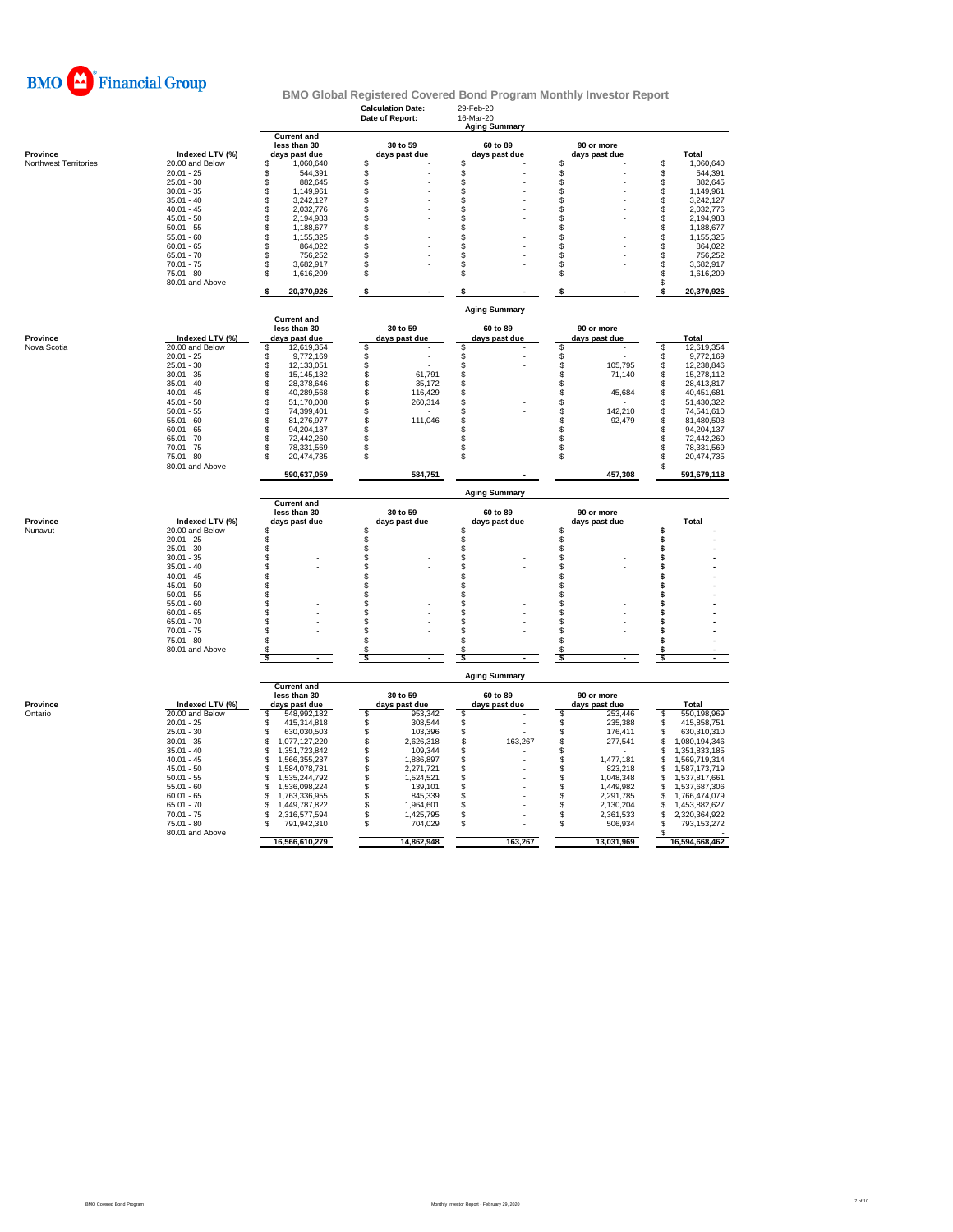

### **Calculation Date:** 29-Feb-20 **BMO Global Registered Covered Bond Program Monthly Investor Report**

|                              |                                    |                                                     | Date of Report:            | 16-Mar-20<br><b>Aging Summary</b> |                                |                                             |
|------------------------------|------------------------------------|-----------------------------------------------------|----------------------------|-----------------------------------|--------------------------------|---------------------------------------------|
| Province                     | Indexed LTV (%)                    | <b>Current and</b><br>less than 30<br>days past due | 30 to 59<br>days past due  | 60 to 89<br>days past due         | 90 or more<br>days past due    | Total                                       |
| <b>Northwest Territories</b> | 20.00 and Below                    | 1,060,640<br>S                                      | \$                         | \$                                | S                              | \$<br>1,060,640                             |
|                              | $20.01 - 25$                       | 544,391<br>S                                        | \$                         | \$                                | S                              | \$<br>544,391                               |
|                              | $25.01 - 30$                       | 882,645<br>\$                                       | \$                         | \$                                | \$                             | \$<br>882,645                               |
|                              | $30.01 - 35$<br>$35.01 - 40$       | \$<br>1,149,961<br>\$<br>3,242,127                  | \$<br>\$                   | \$<br>S                           | \$<br>£.                       | \$<br>1,149,961<br>$\mathbb S$<br>3,242,127 |
|                              | $40.01 - 45$                       | 2,032,776<br>S                                      | \$                         | S                                 | S                              | \$<br>2,032,776                             |
|                              | $45.01 - 50$                       | \$<br>2,194,983                                     | \$                         | \$                                | S                              | \$<br>2,194,983                             |
|                              | $50.01 - 55$                       | \$<br>1,188,677                                     | \$                         | \$                                | \$                             | $\mathbb{S}$<br>1,188,677                   |
|                              | $55.01 - 60$                       | \$<br>1,155,325                                     | \$                         | s                                 | \$                             | \$<br>1,155,325                             |
|                              | $60.01 - 65$                       | 864,022<br>\$                                       | \$                         | \$                                | S                              | \$<br>864,022                               |
|                              | $65.01 - 70$<br>$70.01 - 75$       | \$<br>756,252<br>£.<br>3,682,917                    | \$<br>\$                   | \$<br>\$                          | S<br>£.                        | \$<br>756,252<br>\$<br>3,682,917            |
|                              | $75.01 - 80$                       | \$<br>1,616,209                                     | \$                         | S                                 | \$                             | $$\mathbb{S}$$<br>1,616,209                 |
|                              | 80.01 and Above                    |                                                     |                            |                                   |                                | \$                                          |
|                              |                                    | 20,370,926<br>¢                                     | -\$                        | \$                                | -S<br>×                        | 20,370,926<br>\$                            |
|                              |                                    | <b>Current and</b>                                  |                            | <b>Aging Summary</b>              |                                |                                             |
|                              |                                    | less than 30                                        | 30 to 59                   | 60 to 89                          | 90 or more                     |                                             |
| Province<br>Nova Scotia      | Indexed LTV (%)<br>20.00 and Below | days past due<br>12,619,354<br>£.                   | days past due<br>\$        | days past due<br>\$               | days past due<br>\$            | <b>Total</b><br>12,619,354<br>\$            |
|                              | $20.01 - 25$                       | 9.772.169<br>£.                                     | \$                         | \$                                | \$                             | 9,772,169<br>\$                             |
|                              | $25.01 - 30$                       | \$<br>12,133,051                                    | \$                         | \$                                | \$<br>105,795                  | \$<br>12,238,846                            |
|                              | $30.01 - 35$                       | \$<br>15,145,182                                    | \$<br>61,791               | \$                                | \$<br>71,140                   | \$<br>15,278,112                            |
|                              | $35.01 - 40$                       | \$<br>28,378,646                                    | \$<br>35,172               | S                                 | \$                             | $$\mathbb{S}$$<br>28,413,817                |
|                              | $40.01 - 45$                       | \$<br>40.289.568                                    | \$<br>116.429              | s                                 | \$<br>45,684                   | \$<br>40,451,681                            |
|                              | $45.01 - 50$                       | \$<br>51,170,008                                    | \$<br>260,314              | S                                 | \$                             | \$<br>51,430,322                            |
|                              | $50.01 - 55$<br>$55.01 - 60$       | 74,399,401<br>\$<br>81,276,977<br>\$                | \$<br>111,046<br>\$        | \$<br>\$                          | 142,210<br>\$<br>\$.           | \$<br>74,541,610<br>\$<br>81,480,503        |
|                              | $60.01 - 65$                       | 94,204,137<br>\$                                    | \$                         | S                                 | 92,479<br>\$                   | \$<br>94,204,137                            |
|                              | $65.01 - 70$                       | \$<br>72,442,260                                    | \$                         | \$                                | \$                             | \$<br>72,442,260                            |
|                              | $70.01 - 75$                       | 78,331,569<br>\$                                    | \$                         | \$                                | \$                             | \$<br>78,331,569                            |
|                              | $75.01 - 80$                       | \$<br>20,474,735                                    | $\mathsf{\$}$              | \$                                | \$                             | $$\mathbb{S}$$<br>20,474,735                |
|                              | 80.01 and Above                    | 590,637,059                                         | 584,751                    |                                   | 457,308                        | S<br>591,679,118                            |
|                              |                                    |                                                     |                            | <b>Aging Summary</b>              |                                |                                             |
|                              |                                    | <b>Current and</b><br>less than 30                  | 30 to 59                   | 60 to 89                          | 90 or more                     |                                             |
| Province                     | Indexed LTV (%)                    | days past due                                       | days past due              | days past due                     | days past due                  | Total                                       |
| Nunavut                      | 20.00 and Below                    | S                                                   | \$                         | \$                                | \$                             | \$                                          |
|                              | $20.01 - 25$                       | \$                                                  | \$                         | \$                                | \$                             | \$                                          |
|                              | $25.01 - 30$                       | \$.                                                 | \$                         | \$                                | S                              | \$                                          |
|                              | $30.01 - 35$                       | S.                                                  |                            | \$                                | \$                             | s                                           |
|                              | $35.01 - 40$<br>$40.01 - 45$       | ደ<br>\$                                             | \$<br>\$                   | S<br>\$                           | \$<br>S                        | \$<br>\$                                    |
|                              | $45.01 - 50$                       | \$                                                  | \$                         | \$                                | \$                             | \$                                          |
|                              | $50.01 - 55$                       | \$                                                  | \$                         | \$                                | \$                             | \$                                          |
|                              | $55.01 - 60$                       | \$                                                  | \$                         | S                                 | \$                             | \$                                          |
|                              | $60.01 - 65$                       | \$.                                                 | \$                         | S                                 | S                              |                                             |
|                              | $65.01 - 70$                       | S                                                   | \$                         | S                                 | S                              |                                             |
|                              | $70.01 - 75$                       | S                                                   | \$                         | \$                                | S                              | S                                           |
|                              | $75.01 - 80$<br>80.01 and Above    | Я                                                   | \$<br>S.                   | S                                 | £.                             | £.<br>s                                     |
|                              |                                    | $\blacksquare$                                      | \$<br>÷.                   | \$                                | \$<br>$\overline{\phantom{a}}$ | \$<br>$\mathbf{r}$                          |
|                              |                                    |                                                     |                            | <b>Aging Summary</b>              |                                |                                             |
|                              |                                    | <b>Current and</b><br>less than 30                  | 30 to 59                   | 60 to 89                          | 90 or more                     |                                             |
| Province                     | Indexed LTV (%)                    | days past due                                       | days past due              | days past due                     | days past due                  | Total                                       |
| Ontario                      | 20.00 and Below                    | 548,992,182<br>S                                    | 953,342<br>\$              | \$                                | \$<br>253,446                  | 550,198,969<br>\$                           |
|                              | $20.01 - 25$                       | 415,314,818<br>S<br>S                               | \$<br>308,544              | \$                                | \$<br>235.388                  | \$<br>415,858,751                           |
|                              | $25.01 - 30$<br>$30.01 - 35$       | 630,030,503<br>\$                                   | \$<br>103,396<br>\$        | S                                 | \$<br>176,411                  | \$<br>630,310,310                           |
|                              | $35.01 - 40$                       | 1,077,127,220<br>S<br>1,351,723,842                 | 2,626,318<br>\$<br>109,344 | \$<br>163,267<br>\$               | \$<br>277,541<br>\$            | \$<br>1,080,194,346<br>s<br>1,351,833,185   |
|                              | $40.01 - 45$                       | 1,566,355,237<br>S                                  | \$<br>1,886,897            | \$                                | \$<br>1,477,181                | S<br>1,569,719,314                          |
|                              | $45.01 - 50$                       | 1,584,078,781<br>S                                  | \$<br>2,271,721            | S                                 | 823,218<br>\$                  | 1,587,173,719<br>\$                         |
|                              | $50.01 - 55$                       | 1,535,244,792<br>S                                  | \$<br>1,524,521            | \$                                | 1,048,348<br>\$                | S<br>1,537,817,661                          |
|                              | $55.01 - 60$                       | 1,536,098,224<br>S                                  | \$<br>139,101              | \$                                | 1,449,982<br>\$                | 1,537,687,306<br>\$                         |
|                              | $60.01 - 65$                       | 1,763,336,955<br>S                                  | 845,339<br>\$              | S                                 | 2,291,785<br>\$                | \$<br>1,766,474,079                         |
|                              | $65.01 - 70$                       | 1,449,787,822<br>S                                  | \$<br>1,964,601            | \$                                | \$<br>2,130,204                | \$<br>1,453,882,627                         |
|                              | $70.01 - 75$                       | S<br>2,316,577,594                                  | \$<br>1,425,795<br>\$      | \$<br>\$                          | \$<br>2,361,533                | \$<br>2,320,364,922                         |
|                              | $75.01 - 80$<br>80.01 and Above    | 791,942,310<br>S                                    | 704,029                    |                                   | \$<br>506,934                  | \$<br>793,153,272<br>\$                     |
|                              |                                    | 16,566,610,279                                      | 14,862,948                 | 163,267                           | 13,031,969                     | 16,594,668,462                              |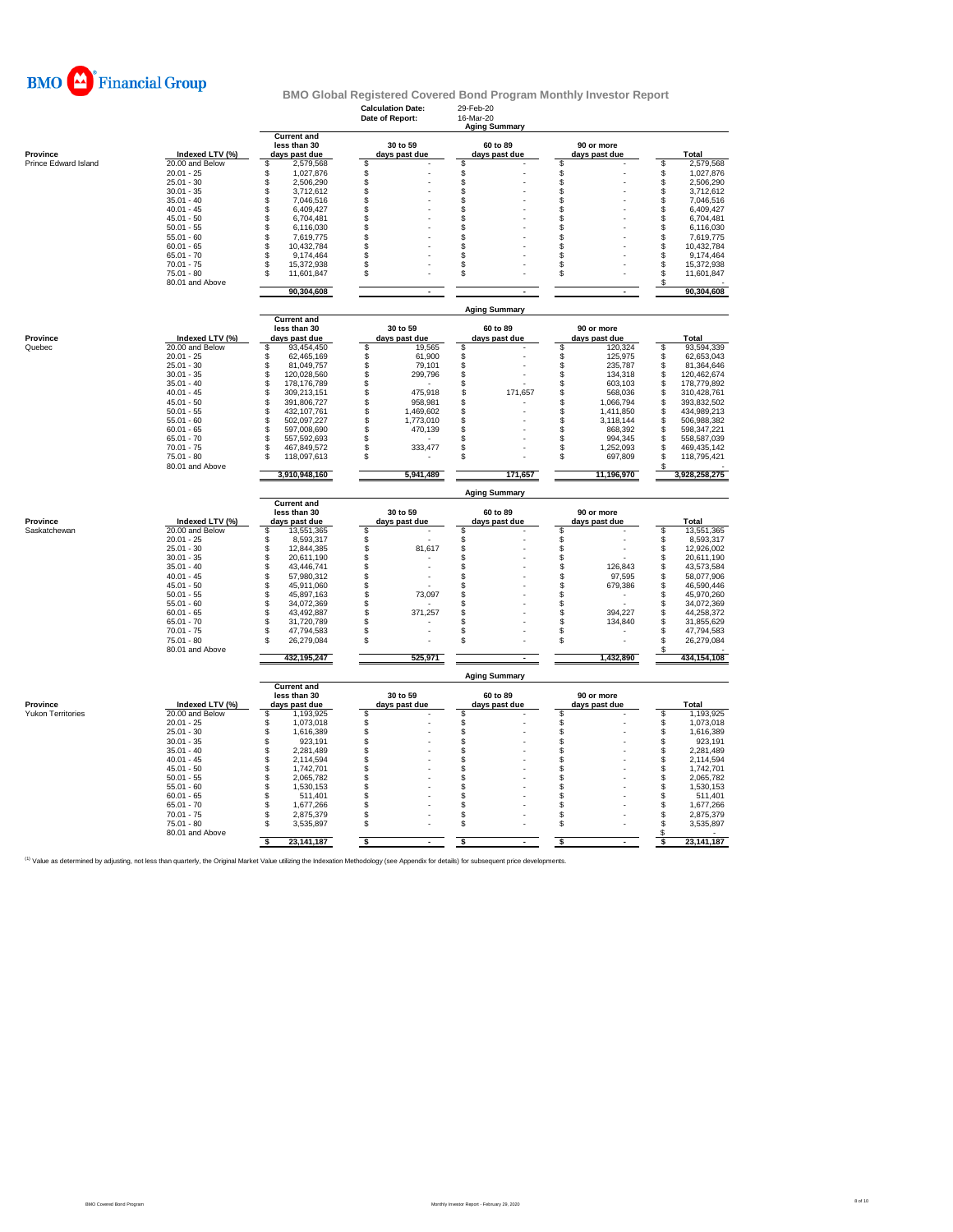

#### **Calculation Date:** 29-Feb-20<br> **Date of Report:** 16-Mar-20 **Date of Report: Current and less than 30 30 to 59 60 to 89 90 or more**<br> **days past due days past due days past due days past due days past due** Province displant of the match of the control of the control of the control of the model of the model of the co<br>Prince Edward Island the 20.00 and Below \$ 1,027,568 \$ \$ \$ \$ \$ \$ \$ \$ 1,027,876<br>20.01 - 20.01 - 25 1,027,876 \$ 25.01 - 30 \$ 2,506,290 \$ - \$ - \$ - \$ 2,506,290 30.01 - 35 \$ 3,712,612 \$ - \$ - \$ - \$ 3,712,612 35.01 - 40 \$ 7,046,516 \$ - \$ - \$ - \$ 7,046,516 40.01 - 45 \$ 6,409,427 \$ - \$ - \$ - \$ 6,409,427 45.01 - 50 \$ 6,704,481 \$ - \$ - \$ - \$ 6,704,481 50.01 - 55 \$ 6,116,030 \$ - \$ - \$ - \$ 6,116,030 55.01 - 60 \$ 7,619,775 \$ - \$ - \$ - \$ 7,619,775 60.01 - 65 \$ 10,432,784 \$ - \$ - \$ - \$ 10,432,784 65.01 - 70 \$ 9,174,464 \$ - \$ - \$ - \$ 9,174,464 70.01 - 75 \$ 15,372,938 \$ - \$ - \$ - \$ 15,372,938 75.01 - 80 \$ 11,601,847 \$ - \$ - \$ - \$ 11,601,847 80.01 and Above **6 - 11,001,001** - 12,000,000 **12,000,000** - 12,000,000 **12,000,000** - 12,000,000 **12,000,000** - 12,000,000 **12,000,000** - 12,000,000 **12,000,000** - 12,000,000 **12,000,000** - 12,000,000 - 12,000,000 - 12,00  **90,304,608 - - - 90,304,608 Current and less than 30 30 to 59 60 to 89 90 or more Province Indexed LTV (%) days past due days past due days past due days past due Total** Quebec 20.00 and Below \$ 93,454,450 \$ 19,565 \$ - \$ 120,324 \$ 93,594,339 20.01 - 25 \$ 62,465,169 \$ 61,900 \$ - \$ 125,975 \$ 62,653,043 25.01 - 30 \$ 81,049,757 \$ 79,101 \$ - \$ 235,787 \$ 81,364,646 30.01 - 35 \$ 120,028,560 \$ 299,796 \$ - \$ 134,318 \$ 120,462,674 35.01 - 40 \$ 178,176,789 \$ - \$ - \$ 603,103 \$ 178,779,892 40.01 - 45 \$ 309,213,151 \$ 475,918 \$ 171,657 \$ 568,036 \$ 310,428,761 45.01 - 50 \$ 391,806,727 \$ 958,981 \$ - \$ 1,066,794 \$ 393,832,502 50.01 - 55 \$ 432,107,761 \$ 1,469,602 \$ - \$ 1,411,850 \$ 434,989,213 55.01 - 60 \$ 502,097,227 \$ 1,773,010 \$ - \$ 3,118,144 \$ 506,988,382 60.01 - 65 \$ 597,008,690 \$ 470,139 \$ - \$ 868,392 \$ 598,347,221 65.01 - 70 \$ 557,592,693 \$ - \$ - \$ 994,345 \$ 558,587,039 70.01 - 75 \$ 467,849,572 \$ 333,477 \$ - \$ 1,252,093 \$ 469,435,142 75.01 - 80 \$ 118,097,613 \$ - \$ - \$ 697,809 \$ 118,795,421 80.01 and Above \$ -  **3,910,948,160 5,941,489 171,657 11,196,970 3,928,258,275 Current and less than 30 30 to 59 60 to 89 90 or more**<br> **lays past due**<br> **lays past due**<br> **lays past due**<br> **lays past due**<br> **lays past due**<br> **lays past due**<br> **lays past due Province Indexed LTV (%) days past due days past due days past due days past due Total** Saskatchewan 20.00 and Below \$ 13,551,365 \$ - \$ - \$ - \$ 13,551,365 20.01 - 25 \$ 8,593,317 \$ - \$ - \$ - \$ 8,593,317 25.01 - 30 \$ 12,844,385 \$ 81,617 \$ - \$ - \$ 12,926,002 30.01 - 35 \$ 20,611,190 \$ - \$ - \$ - \$ 20,611,190 35.01 - 40 \$ 43,446,741 \$ - \$ - \$ 126,843 \$ 43,573,584 40.01 - 45 \$ 57,980,312 \$ - \$ - \$ 97,595 \$ 58,077,906 45.01 - 50 \$ 45,911,060 \$ - \$ - \$ 679,386 \$ 46,590,446 50.01 - 55 \$ 45,897,163 \$ 73,097 \$ - \$ - \$ 45,970,260 55.01 - 60 \$ 34,072,369 \$ - \$ - \$ - \$ 34,072,369 60.01 - 65 \$ 43,492,887 \$ 371,257 \$ - \$ 394,227 \$ 44,258,372 65.01 - 70 \$ 31,720,789 \$ - \$ - \$ 134,840 \$ 31,855,629 70.01 - 75 \$ 47,794,583 \$ - \$ - \$ - \$ 47,794,583 75.01 - 80 \$ 26,279,084 \$ - \$ - \$ \$ 26,279,084<br>80.01 and Above \$ - **432,195,247 525,971 1,432,890 1,432,890 1,434,154,108 Current and less than 30 30 to 59 60 to 89 90 or more Province Indexed LTV (%) days past due days past due days past due days past due Total** Yukon Territories 20.00 and Below \$ 1,193,925 \$ - \$ - \$ - \$ 1,193,925 20.01 - 25 \$ 1,073,018 \$ - \$ - \$ - \$ 1,073,018 25.01 - 30 \$ 1,616,389 \$ - \$ - \$ - \$ 1,616,389 30.01 - 35 \$ 923,191 \$ - \$ - \$ - \$ 923,191 35.01 - 40 \$ 2,281,489 \$ - \$ - \$ - \$ 2,281,489 40.01 - 45 \$ 2,114,594 \$ - \$ - \$ - \$ 2,114,594 45.01 - 50 \$ 1,742,701 \$ - \$ - \$ - \$ 1,742,701 50.01 - 55 \$ 2,065,782 \$ - \$ - \$ - \$ 2,065,782 55.01 - 60 \$ 1,530,153 \$ - \$ - \$ - \$ 1,530,153 60.01 - 65 \$ 511,401 \$ - \$ - \$ - \$ 511,401 65.01 - 70 \$ 1,677,266 \$ - \$ - \$ - \$ 1,677,266 70.01 - 75 \$ 2,875,379 \$ - \$ - \$ - \$ 2,875,379 75.01 - 80 \$ 3,535,897 \$ - \$ - \$ - \$ 3,535,897 80.01 and Above  $\qquad \qquad \, \, \text{``}$ **\$** 23,141,187 **\$ \$** -- **\$ \$** 23,141,187 **Aging Sum Aging Summary Aging Summary Aging Summary**

**BMO Global Registered Covered Bond Program Monthly Investor Report**

hined by adjusting, not less than quarterly, the Original Market Value utilizing the Indexation Methodology (see Appendix for details) for sub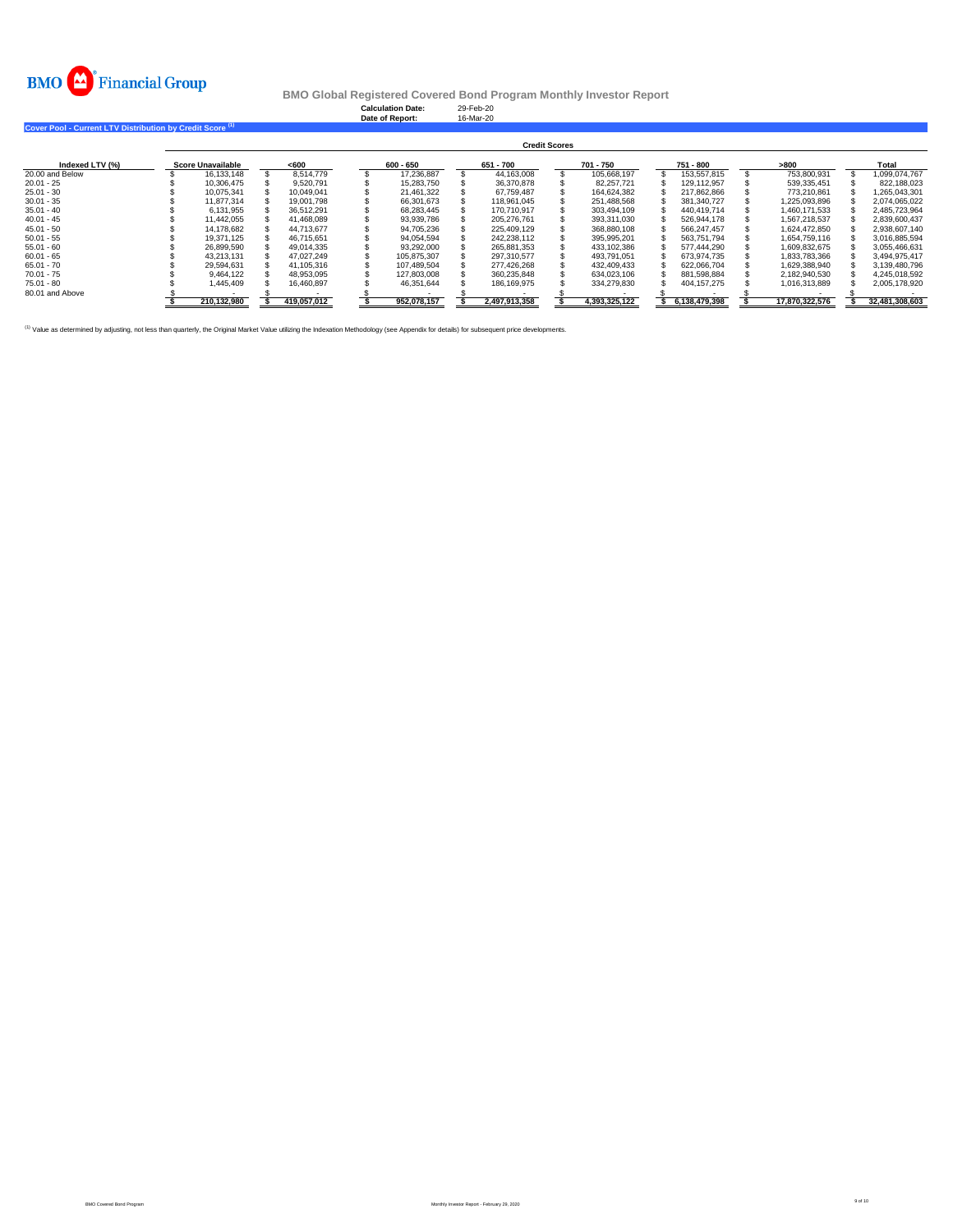

**Calculation Date:** 29-Feb-20 **Date of Report:** 16-Mar-20

**Cover Pool - Current LTV Distribution by Credit Score (1)** 

|                 | <b>Credit Scores</b> |                          |  |             |  |             |  |               |  |               |  |               |  |                |  |                |
|-----------------|----------------------|--------------------------|--|-------------|--|-------------|--|---------------|--|---------------|--|---------------|--|----------------|--|----------------|
| Indexed LTV (%) |                      | <b>Score Unavailable</b> |  | < 600       |  | 600 - 650   |  | 651 - 700     |  | 701 - 750     |  | 751 - 800     |  | >800           |  | Total          |
| 20.00 and Below |                      | 16.133.148               |  | 8.514.779   |  | 17.236.887  |  | 44.163.008    |  | 105.668.197   |  | 153.557.815   |  | 753.800.931    |  | 1.099.074.767  |
| $20.01 - 25$    |                      | 10.306.475               |  | 9.520.791   |  | 15.283.750  |  | 36.370.878    |  | 82.257.721    |  | 129.112.957   |  | 539.335.451    |  | 822.188.023    |
| $25.01 - 30$    |                      | 10.075.341               |  | 10.049.041  |  | 21.461.322  |  | 67,759,487    |  | 164.624.382   |  | 217,862,866   |  | 773,210,861    |  | 1,265,043,301  |
| $30.01 - 35$    |                      | 11.877.314               |  | 19,001.798  |  | 66.301.673  |  | 118.961.045   |  | 251.488.568   |  | 381,340,727   |  | 1,225,093,896  |  | 2,074,065,022  |
| $35.01 - 40$    |                      | 6.131.955                |  | 36.512.291  |  | 68.283.445  |  | 170.710.917   |  | 303.494.109   |  | 440.419.714   |  | 1.460.171.533  |  | 2.485.723.964  |
| $40.01 - 45$    |                      | 11,442,055               |  | 41.468.089  |  | 93,939,786  |  | 205,276,761   |  | 393.311.030   |  | 526,944,178   |  | 1,567,218,537  |  | 2,839,600,437  |
| $45.01 - 50$    |                      | 14.178.682               |  | 44.713.677  |  | 94.705.236  |  | 225.409.129   |  | 368,880,108   |  | 566.247.457   |  | 1.624.472.850  |  | 2,938,607,140  |
| $50.01 - 55$    |                      | 19.371.125               |  | 46.715.651  |  | 94.054.594  |  | 242.238.112   |  | 395.995.201   |  | 563.751.794   |  | 1.654.759.116  |  | 3.016.885.594  |
| $55.01 - 60$    |                      | 26.899.590               |  | 49.014.335  |  | 93.292.000  |  | 265.881.353   |  | 433.102.386   |  | 577.444.290   |  | 1.609.832.675  |  | 3.055.466.631  |
| $60.01 - 65$    |                      | 43.213.131               |  | 47.027.249  |  | 105.875.307 |  | 297.310.577   |  | 493.791.051   |  | 673.974.735   |  | 1.833.783.366  |  | 3.494.975.417  |
| $65.01 - 70$    |                      | 29.594.631               |  | 41.105.316  |  | 107.489.504 |  | 277.426.268   |  | 432.409.433   |  | 622.066.704   |  | 1.629.388.940  |  | 3.139.480.796  |
| $70.01 - 75$    |                      | 9.464.122                |  | 48.953.095  |  | 127,803,008 |  | 360.235.848   |  | 634.023.106   |  | 881.598.884   |  | 2.182.940.530  |  | 4.245.018.592  |
| $75.01 - 80$    |                      | 1.445.409                |  | 16.460.897  |  | 46.351.644  |  | 186.169.975   |  | 334.279.830   |  | 404.157.275   |  | 1.016.313.889  |  | 2.005.178.920  |
| 80.01 and Above |                      |                          |  |             |  |             |  |               |  |               |  |               |  |                |  |                |
|                 |                      | 210.132.980              |  | 419.057.012 |  | 952.078.157 |  | 2.497.913.358 |  | 4.393.325.122 |  | 6.138.479.398 |  | 17.870.322.576 |  | 32.481.308.603 |

<sup>(1)</sup> Value as determined by adjusting, not less than quarterly, the Original Market Value utilizing the Indexation Methodology (see Appendix for details) for subsequent price developments.